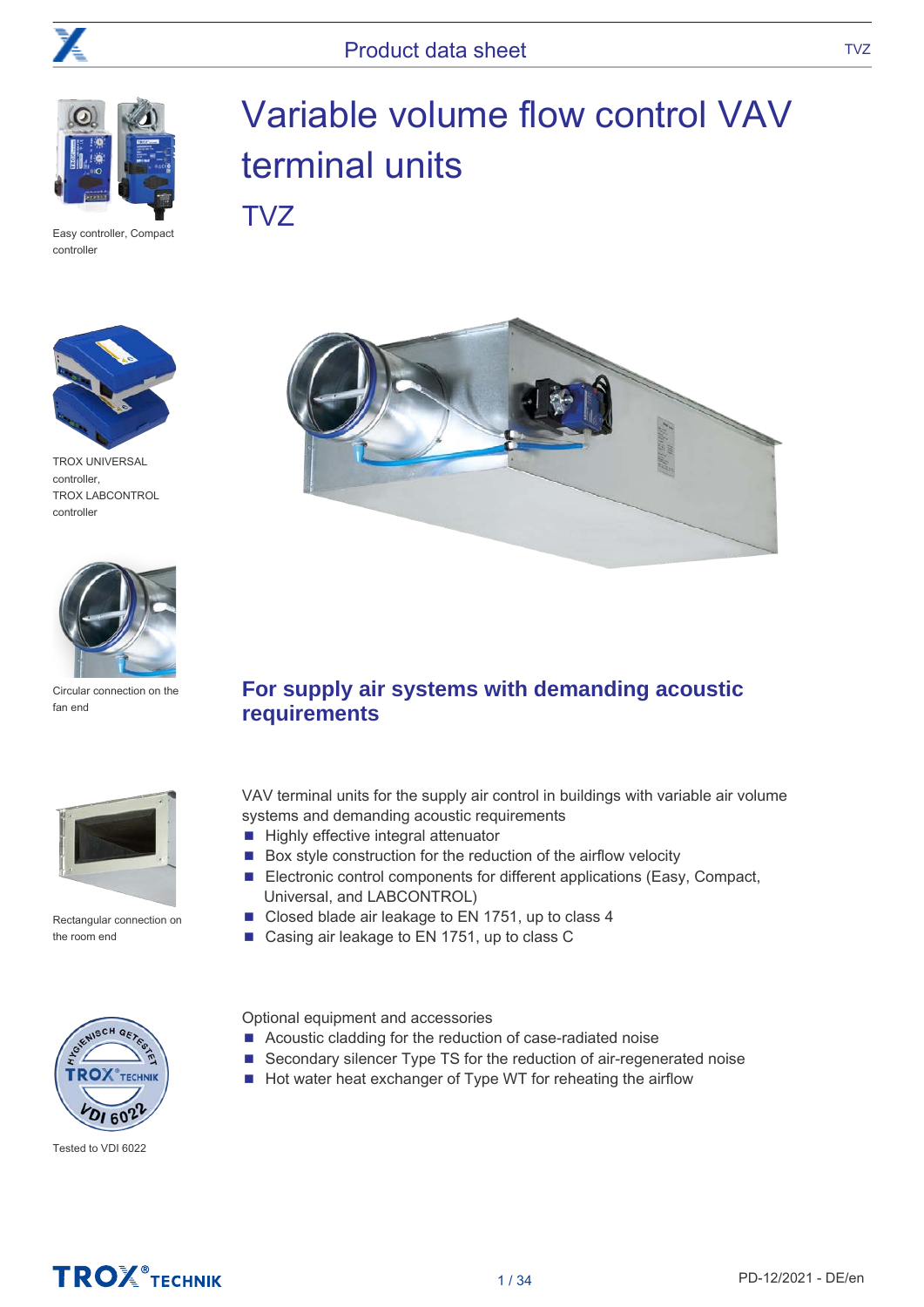

Easy controller, Compact controller



TROX UNIVERSAL controller, TROX LABCONTROL controller



Circular connection on the fan end



Rectangular connection on the room end



Tested to VDI 6022

# Variable volume flow control VAV terminal units TVZ



## **For supply air systems with demanding acoustic requirements**

VAV terminal units for the supply air control in buildings with variable air volume systems and demanding acoustic requirements

- Highly effective integral attenuator
- Box style construction for the reduction of the airflow velocity
- Electronic control components for different applications (Easy, Compact, Universal, and LABCONTROL)
- Closed blade air leakage to EN 1751, up to class 4
- Casing air leakage to EN 1751, up to class C

Optional equipment and accessories

- Acoustic cladding for the reduction of case-radiated noise
- Secondary silencer Type TS for the reduction of air-regenerated noise
- Hot water heat exchanger of Type WT for reheating the airflow

# **TROX**<sup>®</sup>TECHNIK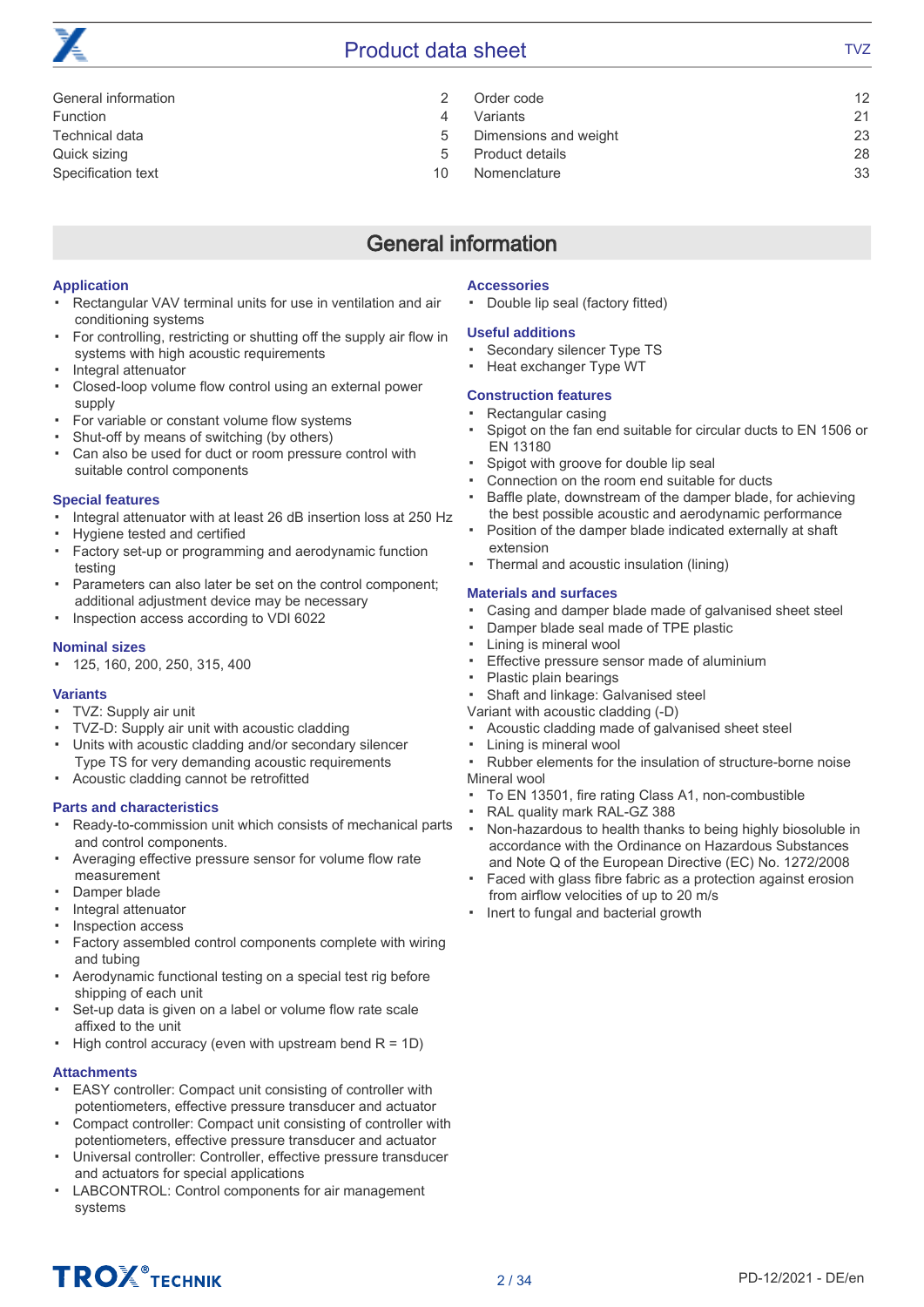

| General information | 2 |
|---------------------|---|
| <b>Function</b>     | 4 |
| Technical data      | 5 |

- [Order code 12](#page-11-0) [Variants 21](#page-20-0)
- [Dimensions and weight 23](#page-22-0)
- [Quick sizing 5](#page-4-1) [Specification text 10](#page-9-0) [Product details 28](#page-27-0)
	- [Nomenclature 33](#page-32-0)

## General information

#### <span id="page-1-0"></span>**Application**

- Rectangular VAV terminal units for use in ventilation and air conditioning systems
- For controlling, restricting or shutting off the supply air flow in systems with high acoustic requirements
- Integral attenuator
- Closed-loop volume flow control using an external power supply
- For variable or constant volume flow systems
- Shut-off by means of switching (by others)
- Can also be used for duct or room pressure control with suitable control components

#### **Special features**

- Integral attenuator with at least 26 dB insertion loss at 250 Hz
- Hygiene tested and certified
- Factory set-up or programming and aerodynamic function testing
- Parameters can also later be set on the control component; additional adjustment device may be necessary
- Inspection access according to VDI 6022

#### **Nominal sizes**

▪ 125, 160, 200, 250, 315, 400

#### **Variants**

- TVZ: Supply air unit
- TVZ-D: Supply air unit with acoustic cladding
- Units with acoustic cladding and/or secondary silencer Type TS for very demanding acoustic requirements
- Acoustic cladding cannot be retrofitted

#### **Parts and characteristics**

- Ready-to-commission unit which consists of mechanical parts and control components.
- Averaging effective pressure sensor for volume flow rate measurement
- Damper blade
- Integral attenuator
- Inspection access
- Factory assembled control components complete with wiring and tubing
- Aerodynamic functional testing on a special test rig before shipping of each unit
- Set-up data is given on a label or volume flow rate scale affixed to the unit
- High control accuracy (even with upstream bend  $R = 1D$ )

#### **Attachments**

- EASY controller: Compact unit consisting of controller with potentiometers, effective pressure transducer and actuator
- Compact controller: Compact unit consisting of controller with potentiometers, effective pressure transducer and actuator
- Universal controller: Controller, effective pressure transducer and actuators for special applications
- LABCONTROL: Control components for air management systems

#### **Accessories**

▪ Double lip seal (factory fitted)

#### **Useful additions**

- Secondary silencer Type TS
- Heat exchanger Type WT

#### **Construction features**

- Rectangular casing
- Spigot on the fan end suitable for circular ducts to EN 1506 or EN 13180
- Spigot with groove for double lip seal
- Connection on the room end suitable for ducts
- Baffle plate, downstream of the damper blade, for achieving the best possible acoustic and aerodynamic performance
- Position of the damper blade indicated externally at shaft extension
- Thermal and acoustic insulation (lining)

#### **Materials and surfaces**

- Casing and damper blade made of galvanised sheet steel
- Damper blade seal made of TPE plastic
- Lining is mineral wool
- Effective pressure sensor made of aluminium
- Plastic plain bearings
- Shaft and linkage: Galvanised steel
- Variant with acoustic cladding (-D)
- Acoustic cladding made of galvanised sheet steel
- Lining is mineral wool

▪ Rubber elements for the insulation of structure-borne noise Mineral wool

- To EN 13501, fire rating Class A1, non-combustible
- RAL quality mark RAL-GZ 388
- Non-hazardous to health thanks to being highly biosoluble in accordance with the Ordinance on Hazardous Substances and Note Q of the European Directive (EC) No. 1272/2008
- Faced with glass fibre fabric as a protection against erosion from airflow velocities of up to 20 m/s
- Inert to fungal and bacterial growth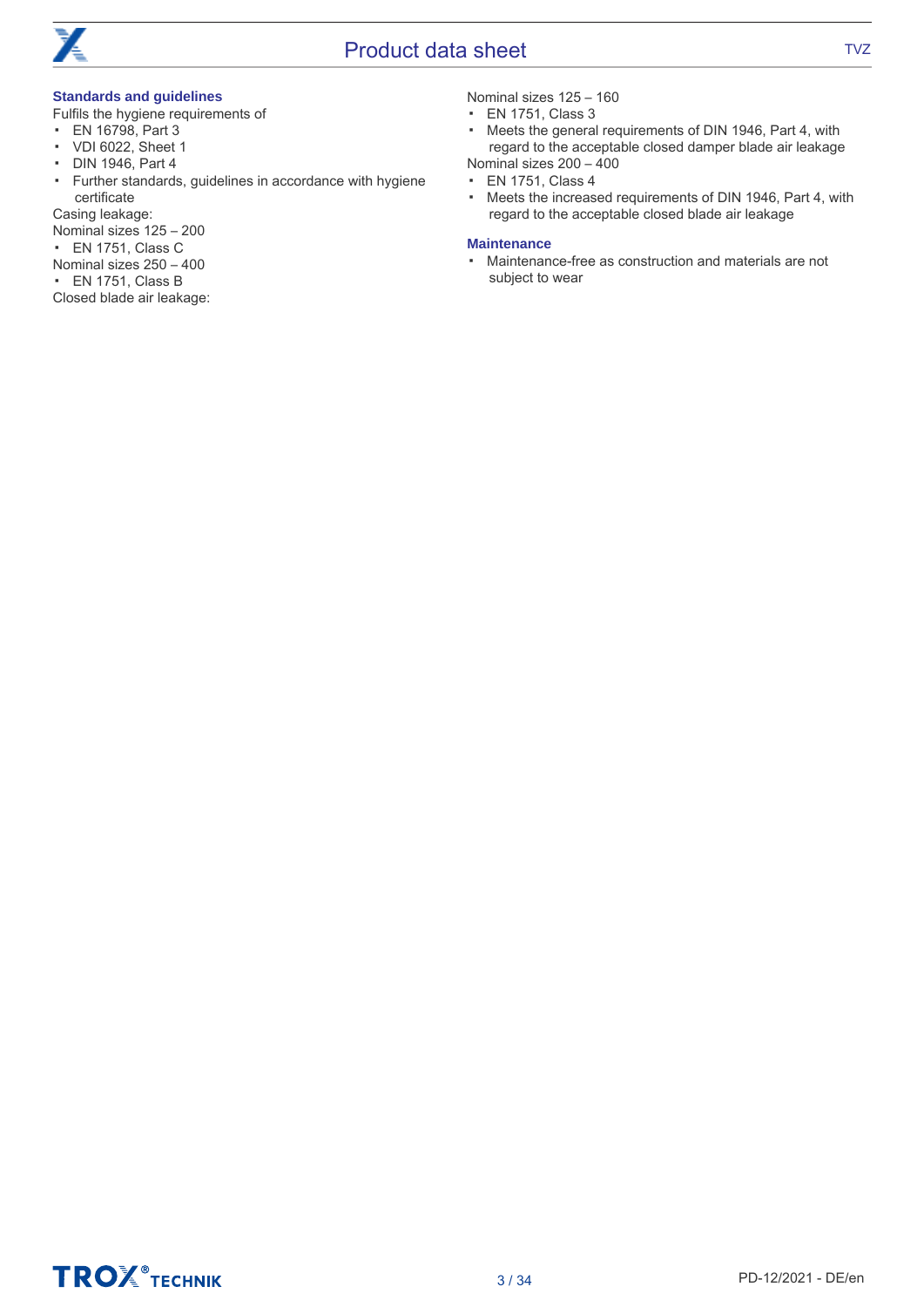

#### **Standards and guidelines**

Fulfils the hygiene requirements of

- EN 16798, Part 3
- VDI 6022, Sheet 1
- DIN 1946, Part 4
- Further standards, guidelines in accordance with hygiene certificate

Casing leakage:

Nominal sizes 125 – 200

- EN 1751, Class C
- Nominal sizes 250 400
- EN 1751, Class B

Closed blade air leakage:

Nominal sizes 125 – 160

- EN 1751, Class 3
- Meets the general requirements of DIN 1946, Part 4, with regard to the acceptable closed damper blade air leakage Nominal sizes 200 – 400
- EN 1751, Class 4
- Meets the increased requirements of DIN 1946, Part 4, with regard to the acceptable closed blade air leakage

#### **Maintenance**

▪ Maintenance-free as construction and materials are not subject to wear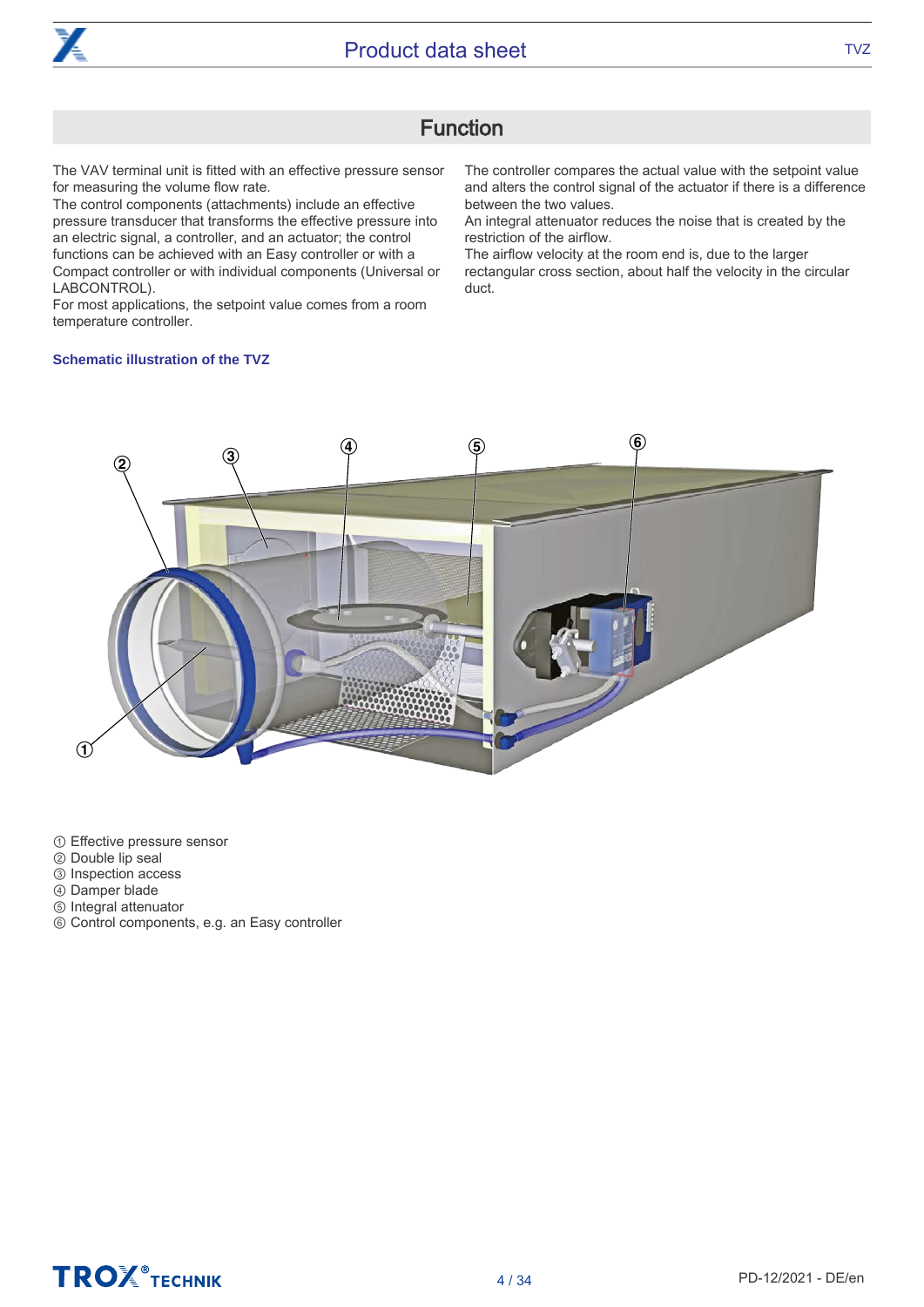

### Function

<span id="page-3-0"></span>The VAV terminal unit is fitted with an effective pressure sensor for measuring the volume flow rate.

The control components (attachments) include an effective pressure transducer that transforms the effective pressure into an electric signal, a controller, and an actuator; the control functions can be achieved with an Easy controller or with a Compact controller or with individual components (Universal or LABCONTROL).

For most applications, the setpoint value comes from a room temperature controller.

**Schematic illustration of the TVZ**

The controller compares the actual value with the setpoint value and alters the control signal of the actuator if there is a difference between the two values.

An integral attenuator reduces the noise that is created by the restriction of the airflow.

The airflow velocity at the room end is, due to the larger rectangular cross section, about half the velocity in the circular duct.



① Effective pressure sensor

- ② Double lip seal
- ③ Inspection access
- ④ Damper blade
- ⑤ Integral attenuator
- ⑥ Control components, e.g. an Easy controller

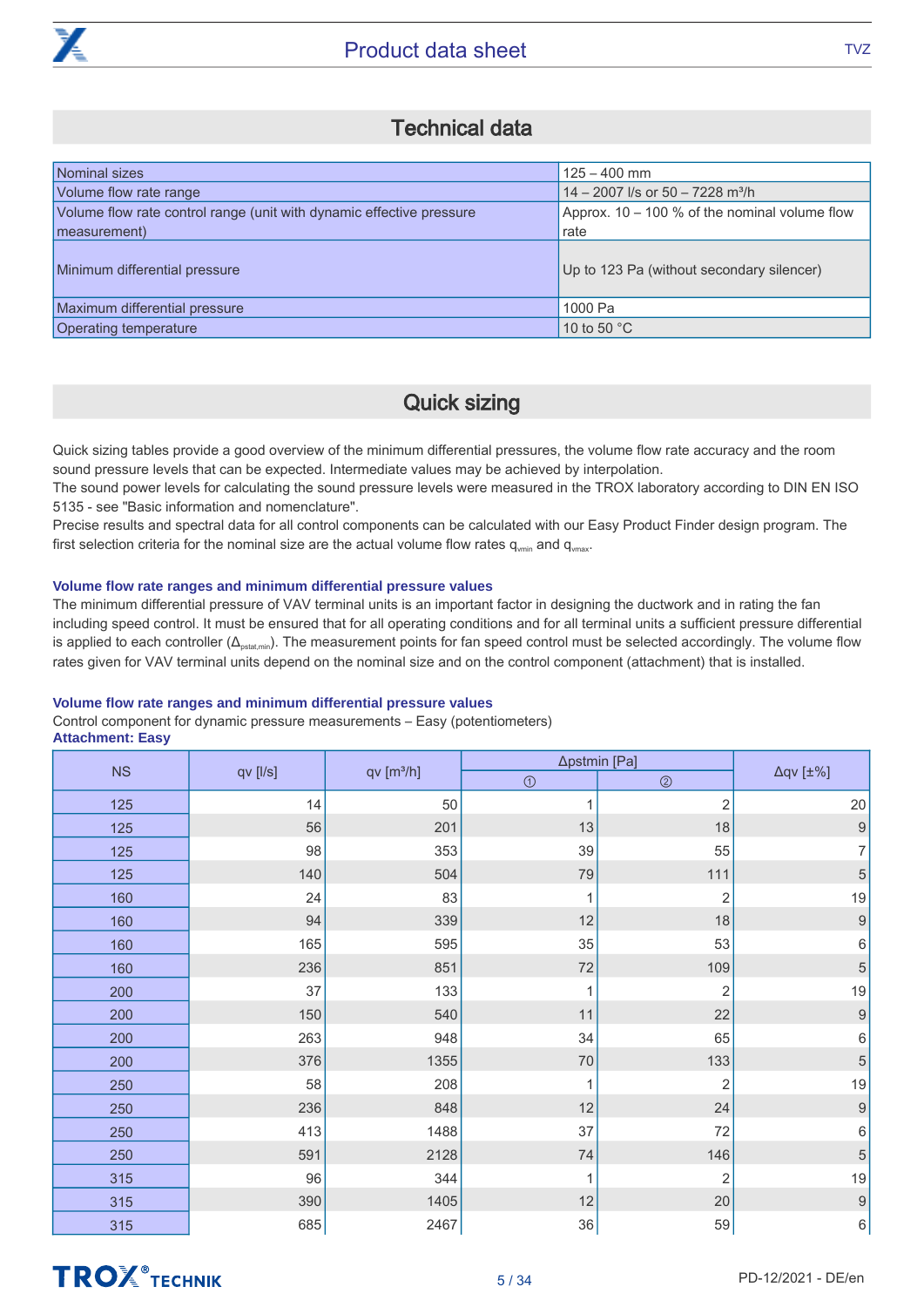

### Technical data

<span id="page-4-0"></span>

| Nominal sizes                                                        | $125 - 400$ mm                                  |
|----------------------------------------------------------------------|-------------------------------------------------|
| Volume flow rate range                                               | 14 – 2007 I/s or 50 – 7228 m <sup>3</sup> /h    |
| Volume flow rate control range (unit with dynamic effective pressure | Approx. $10 - 100$ % of the nominal volume flow |
| measurement)                                                         | rate                                            |
| Minimum differential pressure                                        | Up to 123 Pa (without secondary silencer)       |
| Maximum differential pressure                                        | 1000 Pa                                         |
| Operating temperature                                                | 10 to 50 °C                                     |

## Quick sizing

<span id="page-4-1"></span>Quick sizing tables provide a good overview of the minimum differential pressures, the volume flow rate accuracy and the room sound pressure levels that can be expected. Intermediate values may be achieved by interpolation.

The sound power levels for calculating the sound pressure levels were measured in the TROX laboratory according to DIN EN ISO 5135 - see "Basic information and nomenclature".

Precise results and spectral data for all control components can be calculated with our Easy Product Finder design program. The first selection criteria for the nominal size are the actual volume flow rates  $q_{\text{win}}$  and  $q_{\text{win}}$ .

#### **Volume flow rate ranges and minimum differential pressure values**

The minimum differential pressure of VAV terminal units is an important factor in designing the ductwork and in rating the fan including speed control. It must be ensured that for all operating conditions and for all terminal units a sufficient pressure differential is applied to each controller ( $\Delta_{\text{stat,min}}$ ). The measurement points for fan speed control must be selected accordingly. The volume flow rates given for VAV terminal units depend on the nominal size and on the control component (attachment) that is installed.

#### **Volume flow rate ranges and minimum differential pressure values**

Control component for dynamic pressure measurements – Easy (potentiometers) **Attachment: Easy**

| <b>NS</b> | qv [l/s] | qv[m <sup>3</sup> /h] | Δpstmin [Pa] | $\Delta qV$ [ $\pm\%$ ] |                 |
|-----------|----------|-----------------------|--------------|-------------------------|-----------------|
|           |          |                       | $\odot$      | $\circledS$             |                 |
| 125       | 14       | 50                    | 1            | $\overline{c}$          | 20              |
| 125       | 56       | 201                   | 13           | 18                      | $\overline{9}$  |
| 125       | 98       | 353                   | 39           | 55                      | 7               |
| 125       | 140      | 504                   | 79           | 111                     | $\overline{5}$  |
| 160       | 24       | 83                    | 1            | $\overline{2}$          | 19              |
| 160       | 94       | 339                   | 12           | 18                      | $\mathsf g$     |
| 160       | 165      | 595                   | 35           | 53                      | $6\phantom{1}6$ |
| 160       | 236      | 851                   | 72           | 109                     | 5               |
| 200       | 37       | 133                   | 1            | $\overline{c}$          | 19              |
| 200       | 150      | 540                   | 11           | 22                      | $\overline{9}$  |
| 200       | 263      | 948                   | 34           | 65                      | $\,$ 6 $\,$     |
| 200       | 376      | 1355                  | $70\,$       | 133                     | 5               |
| 250       | 58       | 208                   |              | $\overline{2}$          | 19              |
| 250       | 236      | 848                   | 12           | 24                      | $\overline{9}$  |
| 250       | 413      | 1488                  | 37           | 72                      | $\,$ 6 $\,$     |
| 250       | 591      | 2128                  | 74           | 146                     | 5               |
| 315       | 96       | 344                   | 1            | $\overline{2}$          | 19              |
| 315       | 390      | 1405                  | 12           | 20                      | $\overline{9}$  |
| 315       | 685      | 2467                  | 36           | 59                      | $\sqrt{6}$      |

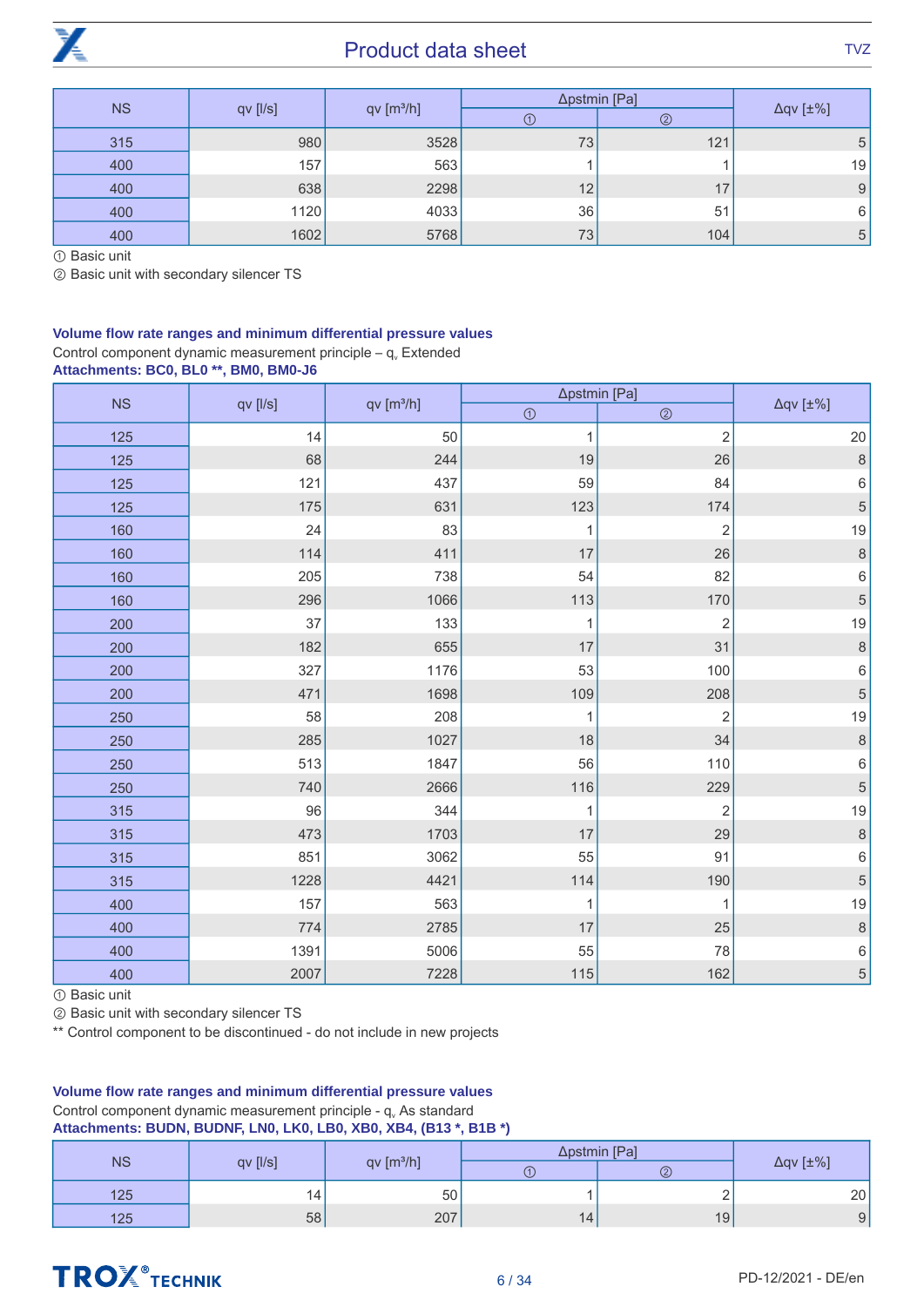

|           |          |                        | ∆pstmin [Pa] |               |                         |
|-----------|----------|------------------------|--------------|---------------|-------------------------|
| <b>NS</b> | qv [l/s] | qv [m <sup>3</sup> /h] | (1)          | $\circled{2}$ | $\Delta qV$ [ $\pm\%$ ] |
| 315       | 980      | 3528                   | 73           | 121           | $\overline{5}$          |
| 400       | 157      | 563                    |              |               | 19                      |
| 400       | 638      | 2298                   | 12           |               | 9                       |
| 400       | 1120     | 4033                   | 36           | 51            | 6                       |
| 400       | 1602     | 5768                   | 73           | 104           | $\overline{5}$          |

① Basic unit

② Basic unit with secondary silencer TS

#### **Volume flow rate ranges and minimum differential pressure values** Control component dynamic measurement principle  $-q_v$  Extended **Attachments: BC0, BL0 \*\*, BM0, BM0-J6**

| <b>NS</b> | qv [l/s] | qv[m <sup>3</sup> /h] | ∆pstmin [Pa] | $\Delta q$ v [ $\pm\%$ ] |                |
|-----------|----------|-----------------------|--------------|--------------------------|----------------|
|           |          |                       | $\odot$      | $\circledcirc$           |                |
| 125       | 14       | 50                    | 1            | $\sqrt{2}$               | $20\,$         |
| 125       | 68       | 244                   | 19           | 26                       | $\,$ 8 $\,$    |
| 125       | 121      | 437                   | 59           | 84                       | $\,6$          |
| 125       | 175      | 631                   | 123          | 174                      | 5              |
| 160       | 24       | 83                    | 1            | $\overline{c}$           | 19             |
| 160       | 114      | 411                   | 17           | 26                       | $\,$ 8 $\,$    |
| 160       | 205      | 738                   | 54           | 82                       | 6              |
| 160       | 296      | 1066                  | 113          | 170                      | 5              |
| 200       | 37       | 133                   | 1            | $\overline{2}$           | 19             |
| 200       | 182      | 655                   | 17           | 31                       | $\,$ 8 $\,$    |
| 200       | 327      | 1176                  | 53           | 100                      | $\,$ 6 $\,$    |
| 200       | 471      | 1698                  | 109          | 208                      | 5              |
| 250       | 58       | 208                   | 1            | $\overline{2}$           | $19$           |
| 250       | 285      | 1027                  | 18           | 34                       | $\,$ 8 $\,$    |
| 250       | 513      | 1847                  | 56           | 110                      | $\,$ 6 $\,$    |
| 250       | 740      | 2666                  | 116          | 229                      | $\overline{5}$ |
| 315       | 96       | 344                   | 1            | $\sqrt{2}$               | 19             |
| 315       | 473      | 1703                  | 17           | 29                       | $\,8\,$        |
| 315       | 851      | 3062                  | 55           | 91                       | $\,6$          |
| 315       | 1228     | 4421                  | 114          | 190                      | 5              |
| 400       | 157      | 563                   | 1            | 1                        | 19             |
| 400       | 774      | 2785                  | 17           | 25                       | $\,$ 8 $\,$    |
| 400       | 1391     | 5006                  | 55           | 78                       | $\,6$          |
| 400       | 2007     | 7228                  | 115          | 162                      | 5              |

① Basic unit

② Basic unit with secondary silencer TS

\*\* Control component to be discontinued - do not include in new projects

| Volume flow rate ranges and minimum differential pressure values  |
|-------------------------------------------------------------------|
| Control component dynamic measurement principle - q. As standard  |
| Attachments: BUDN, BUDNF, LN0, LK0, LB0, XB0, XB4, (B13 *, B1B *) |

|           |                 |                        | ∆pstmin [Pa] |    |                          |
|-----------|-----------------|------------------------|--------------|----|--------------------------|
| <b>NS</b> | qv [l/s]        | qv [m <sup>3</sup> /h] |              | ②  | $\Delta q$ v [ $\pm\%$ ] |
| 125       | 4               | 50                     |              |    | 20                       |
| 125       | 58 <sub>1</sub> | 207                    | 14           | 19 | 9                        |

# **TROX** TECHNIK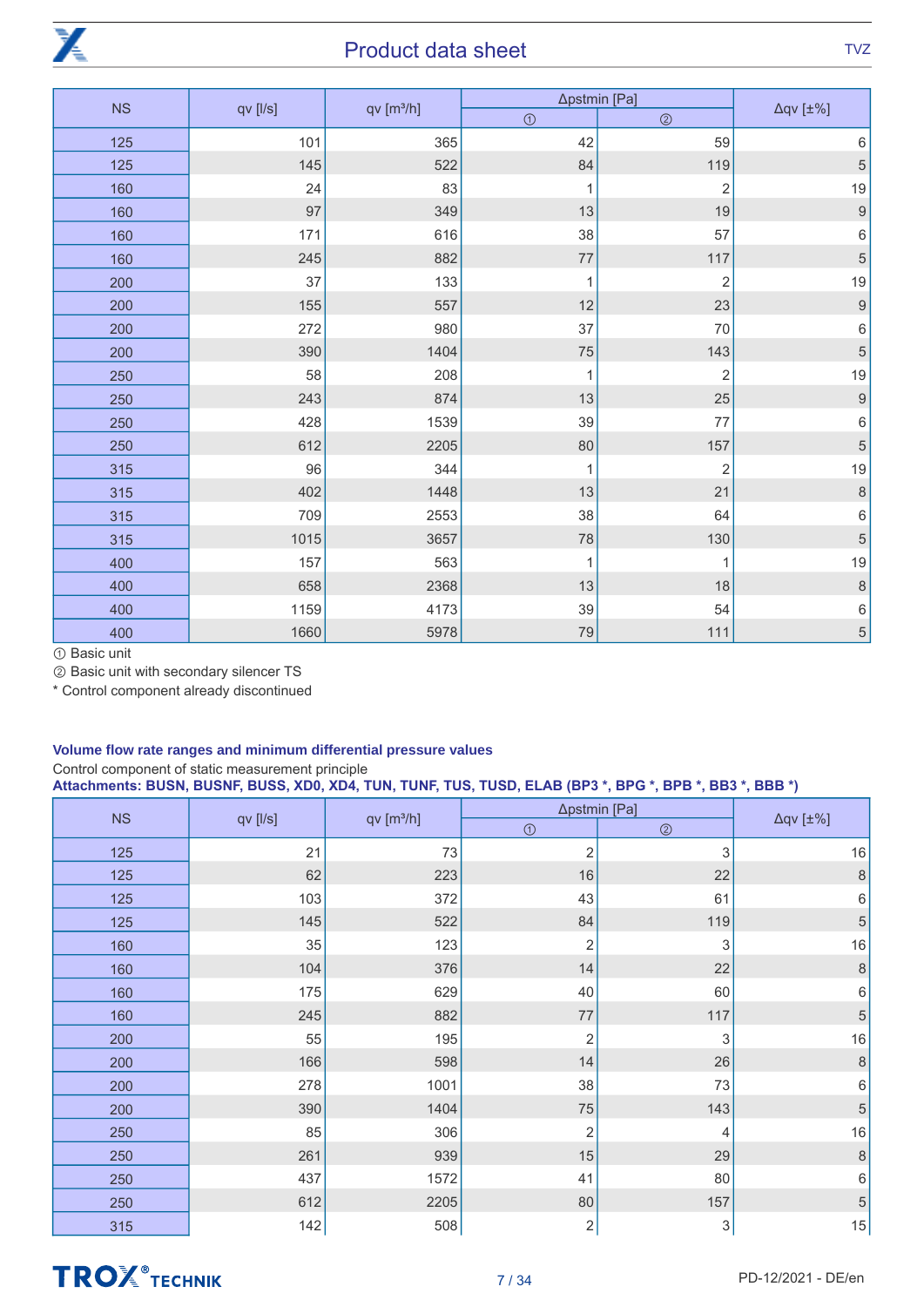

| <b>NS</b> |          |             | Δpstmin [Pa] |                |                         |
|-----------|----------|-------------|--------------|----------------|-------------------------|
|           | qv [l/s] | $qv[m^3/h]$ | $\odot$      | $\circledcirc$ | $\Delta qV$ [ $\pm\%$ ] |
| 125       | 101      | 365         | 42           | 59             | $\,6$                   |
| 125       | 145      | 522         | 84           | 119            | 5                       |
| 160       | 24       | 83          |              | $\overline{2}$ | 19                      |
| 160       | 97       | 349         | 13           | 19             | $\mathsf g$             |
| 160       | 171      | 616         | 38           | 57             | $\overline{6}$          |
| 160       | 245      | 882         | 77           | 117            | 5                       |
| 200       | 37       | 133         |              | $\overline{2}$ | 19                      |
| 200       | 155      | 557         | 12           | 23             | $\mathsf g$             |
| 200       | 272      | 980         | 37           | 70             | $\,6$                   |
| 200       | 390      | 1404        | $75\,$       | 143            | 5                       |
| 250       | 58       | 208         | 1            | $\overline{c}$ | 19                      |
| 250       | 243      | 874         | 13           | 25             | $\mathsf g$             |
| 250       | 428      | 1539        | 39           | 77             | $\sqrt{6}$              |
| 250       | 612      | 2205        | $80\,$       | 157            | 5                       |
| 315       | 96       | 344         |              | $\overline{c}$ | 19                      |
| 315       | 402      | 1448        | 13           | 21             | 8                       |
| 315       | 709      | 2553        | 38           | 64             | $\overline{6}$          |
| 315       | 1015     | 3657        | 78           | 130            | 5                       |
| 400       | 157      | 563         | 1            | 1              | 19                      |
| 400       | 658      | 2368        | 13           | 18             | $\delta$                |
| 400       | 1159     | 4173        | 39           | 54             | $\overline{6}$          |
| 400       | 1660     | 5978        | $79\,$       | 111            | 5                       |

① Basic unit

② Basic unit with secondary silencer TS

\* Control component already discontinued

#### **Volume flow rate ranges and minimum differential pressure values** Control component of static measurement principle **Attachments: BUSN, BUSNF, BUSS, XD0, XD4, TUN, TUNF, TUS, TUSD, ELAB (BP3 \*, BPG \*, BPB \*, BB3 \*, BBB \*)**

| <b>NS</b> |          |             | ∆pstmin [Pa]   |                |                          |
|-----------|----------|-------------|----------------|----------------|--------------------------|
|           | qv [l/s] | $qv[m^3/h]$ | $\odot$        | $\circledcirc$ | $\Delta q$ v [ $\pm\%$ ] |
| 125       | 21       | 73          | $\sqrt{2}$     | 3              | 16                       |
| 125       | 62       | 223         | 16             | 22             | $\bf 8$                  |
| 125       | 103      | 372         | 43             | 61             | $6\,$                    |
| 125       | 145      | 522         | 84             | 119            | $\sqrt{5}$               |
| 160       | 35       | 123         | 2              | 3              | 16                       |
| 160       | 104      | 376         | 14             | 22             | $\bf 8$                  |
| 160       | 175      | 629         | 40             | 60             | $6 \mid$                 |
| 160       | 245      | 882         | 77             | 117            | $\sqrt{5}$               |
| 200       | 55       | 195         | $\overline{2}$ | 3              | 16                       |
| 200       | 166      | 598         | 14             | 26             | $\bf 8$                  |
| 200       | 278      | 1001        | 38             | 73             | $6\,$                    |
| 200       | 390      | 1404        | $75\,$         | 143            | $\sqrt{5}$               |
| 250       | 85       | 306         | $\overline{2}$ | 4              | 16                       |
| 250       | 261      | 939         | 15             | 29             | $\bf 8$                  |
| 250       | 437      | 1572        | 41             | 80             | $6\,$                    |
| 250       | 612      | 2205        | 80             | 157            | $\sqrt{5}$               |
| 315       | 142      | 508         | $\sqrt{2}$     | 3              | 15                       |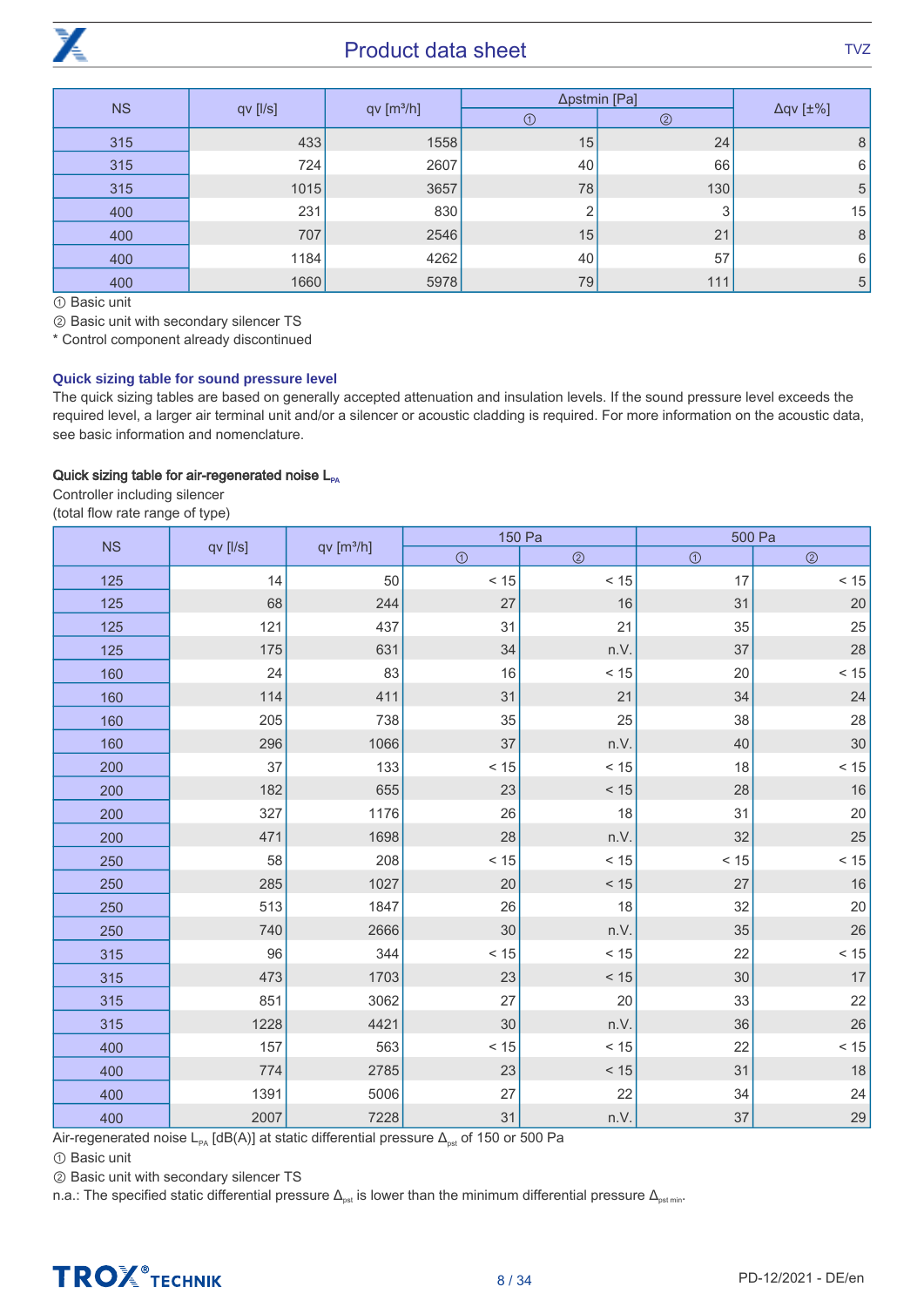

| <b>NS</b> |          |                        | ∆pstmin [Pa] |                |                         |
|-----------|----------|------------------------|--------------|----------------|-------------------------|
|           | qv [l/s] | qv [m <sup>3</sup> /h] |              | $^{\circledR}$ | $\Delta qV$ [ $\pm\%$ ] |
| 315       | 433      | 1558                   | 15           | 24             | 8                       |
| 315       | 724      | 2607                   | 40           | 66             | 6                       |
| 315       | 1015     | 3657                   | 78           | 130            | $\sqrt{5}$              |
| 400       | 231      | 830                    | ົ            | 3              | 15                      |
| 400       | 707      | 2546                   | 15           | 21             | 8                       |
| 400       | 1184     | 4262                   | 40           | 57             | 6                       |
| 400       | 1660     | 5978                   | 79           | 111            | $\sqrt{5}$              |

① Basic unit

② Basic unit with secondary silencer TS

\* Control component already discontinued

#### **Quick sizing table for sound pressure level**

The quick sizing tables are based on generally accepted attenuation and insulation levels. If the sound pressure level exceeds the required level, a larger air terminal unit and/or a silencer or acoustic cladding is required. For more information on the acoustic data, see basic information and nomenclature.

#### Quick sizing table for air-regenerated noise L<sub>PA</sub>

Controller including silencer (total flow rate range of type)

|     |          |             | 150 Pa  |                | 500 Pa  |                |
|-----|----------|-------------|---------|----------------|---------|----------------|
| NS  | qv [l/s] | $qv[m^3/h]$ | $\odot$ | $\circledcirc$ | $\odot$ | $\circledcirc$ |
| 125 | 14       | 50          | < 15    | < 15           | 17      | $<15$          |
| 125 | 68       | 244         | 27      | 16             | 31      | 20             |
| 125 | 121      | 437         | 31      | 21             | 35      | 25             |
| 125 | 175      | 631         | 34      | n.V.           | 37      | 28             |
| 160 | 24       | 83          | 16      | < 15           | 20      | $<15$          |
| 160 | 114      | 411         | 31      | 21             | 34      | 24             |
| 160 | 205      | 738         | 35      | 25             | 38      | 28             |
| 160 | 296      | 1066        | 37      | n.V.           | 40      | 30             |
| 200 | 37       | 133         | < 15    | $<15$          | 18      | $<15$          |
| 200 | 182      | 655         | 23      | < 15           | 28      | $16$           |
| 200 | 327      | 1176        | 26      | 18             | 31      | $20\,$         |
| 200 | 471      | 1698        | $28\,$  | n.V.           | 32      | 25             |
| 250 | 58       | 208         | $<15$   | $<15$          | < 15    | $<15$          |
| 250 | 285      | 1027        | 20      | < 15           | 27      | $16\,$         |
| 250 | 513      | 1847        | 26      | 18             | 32      | 20             |
| 250 | 740      | 2666        | $30\,$  | n.V.           | 35      | 26             |
| 315 | 96       | 344         | $<15$   | $<15$          | 22      | $<15$          |
| 315 | 473      | 1703        | 23      | < 15           | 30      | $17$           |
| 315 | 851      | 3062        | 27      | 20             | 33      | 22             |
| 315 | 1228     | 4421        | 30      | n.V.           | 36      | 26             |
| 400 | 157      | 563         | < 15    | $<15$          | 22      | $<15$          |
| 400 | 774      | 2785        | 23      | < 15           | 31      | $18$           |
| 400 | 1391     | 5006        | 27      | 22             | 34      | 24             |
| 400 | 2007     | 7228        | 31      | n.V.           | 37      | 29             |

Air-regenerated noise L<sub>PA</sub> [dB(A)] at static differential pressure  $\Delta_{\text{pst}}$  of 150 or 500 Pa

① Basic unit

② Basic unit with secondary silencer TS

n.a.: The specified static differential pressure  $\Delta_{\text{pst}}$  is lower than the minimum differential pressure  $\Delta_{\text{pst min}}$ .



# **TROX** TECHNIK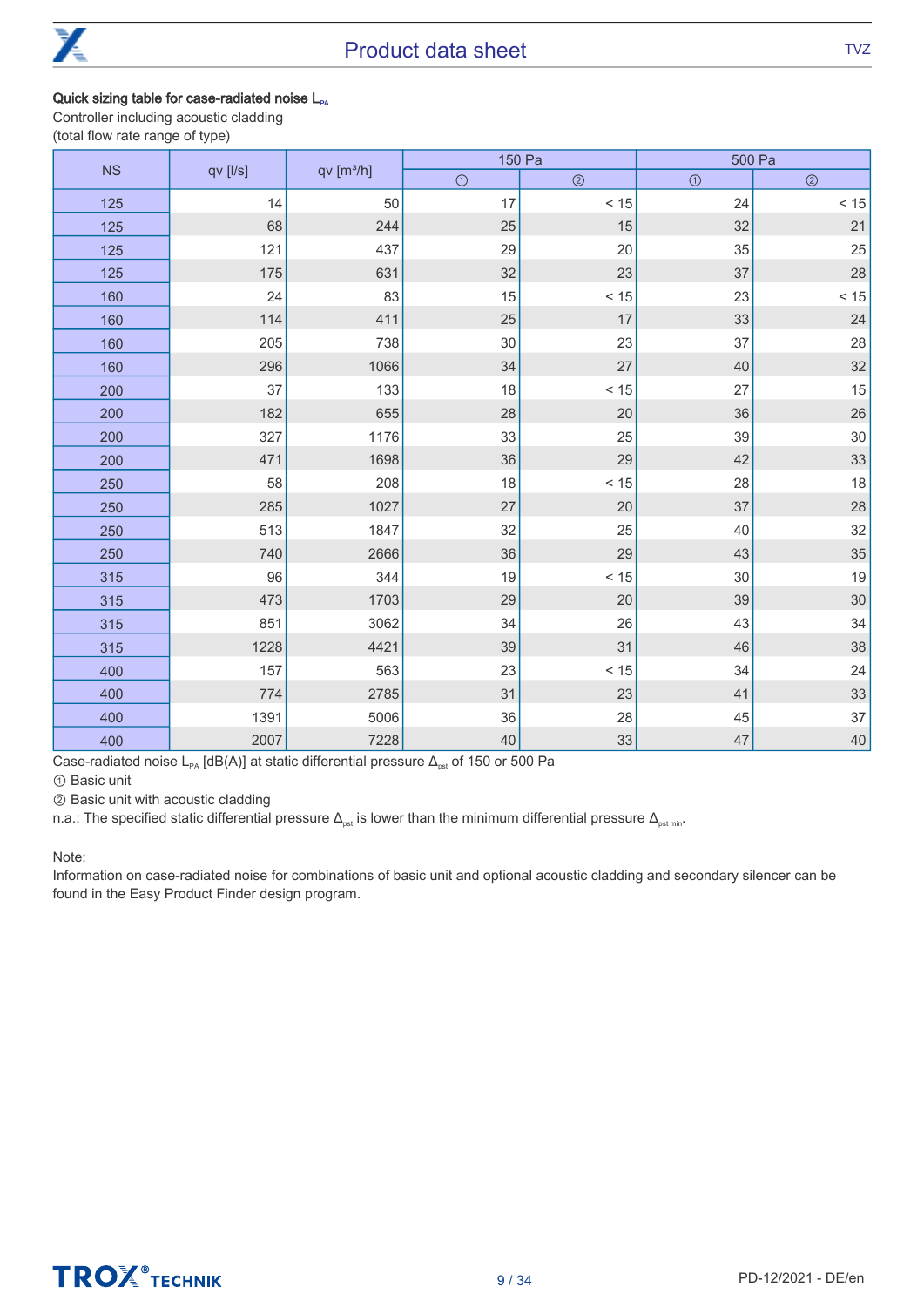

#### Quick sizing table for case-radiated noise L<sub>PA</sub>

Controller including acoustic cladding

(total flow rate range of type)

| <b>NS</b> | qv [l/s] | qv[m <sup>3</sup> /h] | 150 Pa  |             | 500 Pa  |                |
|-----------|----------|-----------------------|---------|-------------|---------|----------------|
|           |          |                       | $\odot$ | $\circledS$ | $\odot$ | $\circledcirc$ |
| 125       | 14       | 50                    | 17      | < 15        | 24      | < 15           |
| 125       | 68       | 244                   | 25      | 15          | 32      | 21             |
| 125       | 121      | 437                   | 29      | 20          | 35      | 25             |
| 125       | 175      | 631                   | 32      | 23          | 37      | 28             |
| 160       | 24       | 83                    | 15      | < 15        | 23      | $<15$          |
| 160       | 114      | 411                   | 25      | 17          | 33      | 24             |
| 160       | 205      | 738                   | 30      | 23          | 37      | 28             |
| 160       | 296      | 1066                  | 34      | 27          | 40      | 32             |
| 200       | 37       | 133                   | 18      | < 15        | 27      | $15\,$         |
| 200       | 182      | 655                   | 28      | 20          | 36      | 26             |
| 200       | 327      | 1176                  | 33      | 25          | 39      | $30\,$         |
| 200       | 471      | 1698                  | 36      | 29          | 42      | 33             |
| 250       | 58       | 208                   | 18      | < 15        | 28      | 18             |
| 250       | 285      | 1027                  | 27      | 20          | 37      | 28             |
| 250       | 513      | 1847                  | 32      | 25          | 40      | 32             |
| 250       | 740      | 2666                  | 36      | 29          | 43      | 35             |
| 315       | 96       | 344                   | 19      | < 15        | 30      | 19             |
| 315       | 473      | 1703                  | 29      | 20          | 39      | 30             |
| 315       | 851      | 3062                  | 34      | 26          | 43      | 34             |
| 315       | 1228     | 4421                  | 39      | 31          | 46      | 38             |
| 400       | 157      | 563                   | 23      | < 15        | 34      | 24             |
| 400       | 774      | 2785                  | 31      | 23          | 41      | $33\,$         |
| 400       | 1391     | 5006                  | 36      | 28          | 45      | 37             |
| 400       | 2007     | 7228                  | 40      | 33          | 47      | $40\,$         |

Case-radiated noise L<sub>PA</sub> [dB(A)] at static differential pressure  $\Delta_{\text{pst}}$  of 150 or 500 Pa

① Basic unit

② Basic unit with acoustic cladding

n.a.: The specified static differential pressure  $\Delta_{\text{pst}}$  is lower than the minimum differential pressure  $\Delta_{\text{pstmin}}$ .

#### Note:

Information on case-radiated noise for combinations of basic unit and optional acoustic cladding and secondary silencer can be found in the Easy Product Finder design program.

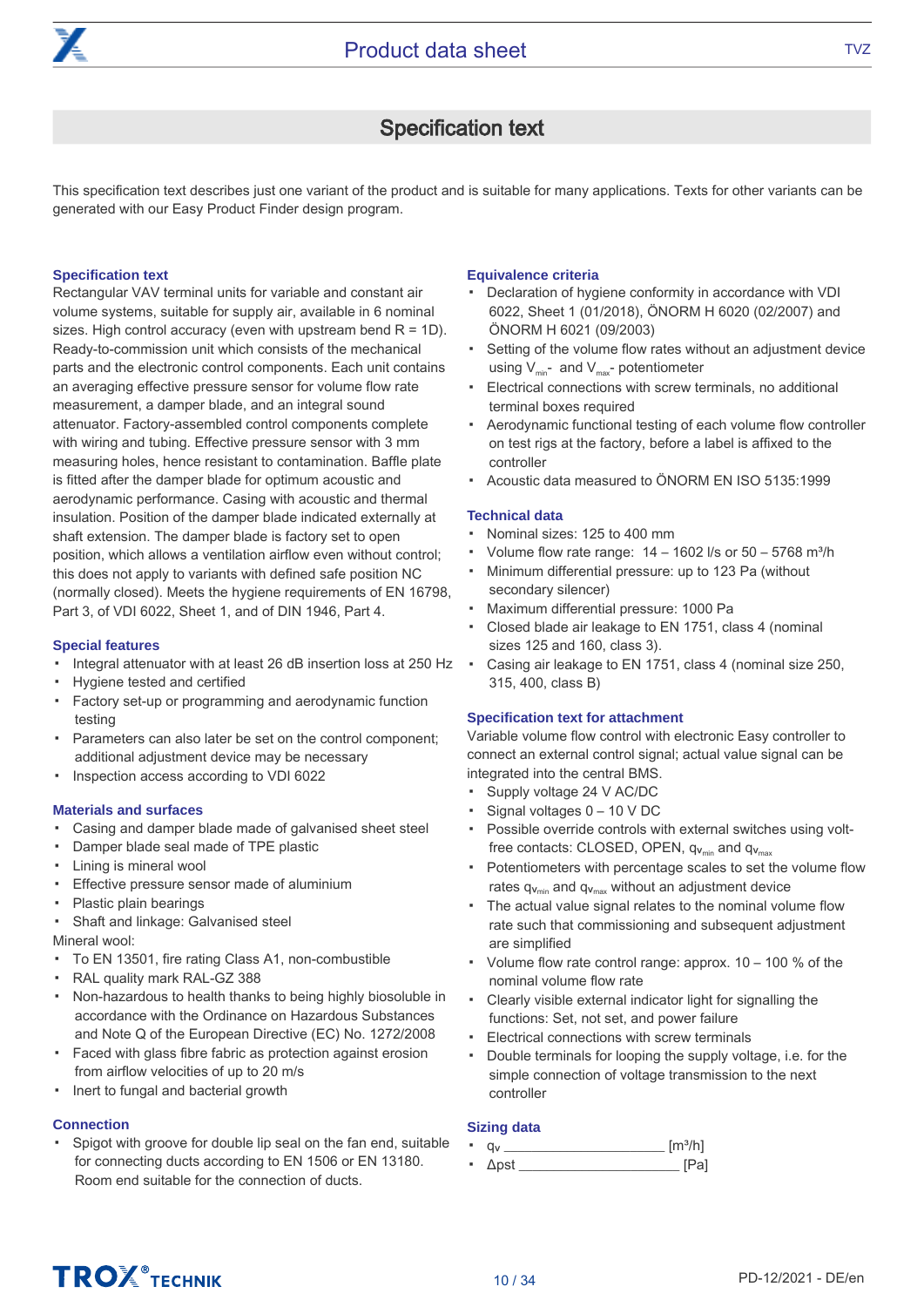

## Specification text

<span id="page-9-0"></span>This specification text describes just one variant of the product and is suitable for many applications. Texts for other variants can be generated with our Easy Product Finder design program.

#### **Specification text**

Rectangular VAV terminal units for variable and constant air volume systems, suitable for supply air, available in 6 nominal sizes. High control accuracy (even with upstream bend  $R = 1D$ ). Ready-to-commission unit which consists of the mechanical parts and the electronic control components. Each unit contains an averaging effective pressure sensor for volume flow rate measurement, a damper blade, and an integral sound attenuator. Factory-assembled control components complete with wiring and tubing. Effective pressure sensor with 3 mm measuring holes, hence resistant to contamination. Baffle plate is fitted after the damper blade for optimum acoustic and aerodynamic performance. Casing with acoustic and thermal insulation. Position of the damper blade indicated externally at shaft extension. The damper blade is factory set to open position, which allows a ventilation airflow even without control; this does not apply to variants with defined safe position NC (normally closed). Meets the hygiene requirements of EN 16798, Part 3, of VDI 6022, Sheet 1, and of DIN 1946, Part 4.

#### **Special features**

- Integral attenuator with at least 26 dB insertion loss at 250 Hz
- Hygiene tested and certified
- Factory set-up or programming and aerodynamic function testing
- Parameters can also later be set on the control component; additional adjustment device may be necessary
- Inspection access according to VDI 6022

#### **Materials and surfaces**

- Casing and damper blade made of galvanised sheet steel
- Damper blade seal made of TPE plastic
- Lining is mineral wool
- Effective pressure sensor made of aluminium
- Plastic plain bearings
- Shaft and linkage: Galvanised steel

Mineral wool:

- To EN 13501, fire rating Class A1, non-combustible
- RAL quality mark RAL-GZ 388
- Non-hazardous to health thanks to being highly biosoluble in accordance with the Ordinance on Hazardous Substances and Note Q of the European Directive (EC) No. 1272/2008
- Faced with glass fibre fabric as protection against erosion from airflow velocities of up to 20 m/s
- Inert to fungal and bacterial growth

#### **Connection**

▪ Spigot with groove for double lip seal on the fan end, suitable for connecting ducts according to EN 1506 or EN 13180. Room end suitable for the connection of ducts.

#### **Equivalence criteria**

- Declaration of hygiene conformity in accordance with VDI 6022, Sheet 1 (01/2018), ÖNORM H 6020 (02/2007) and ÖNORM H 6021 (09/2003)
- Setting of the volume flow rates without an adjustment device using  $V_{\text{min}}$ - and  $V_{\text{max}}$ - potentiometer
- Electrical connections with screw terminals, no additional terminal boxes required
- Aerodynamic functional testing of each volume flow controller on test rigs at the factory, before a label is affixed to the controller
- Acoustic data measured to ÖNORM EN ISO 5135:1999

#### **Technical data**

- Nominal sizes: 125 to 400 mm
- Volume flow rate range:  $14 1602$  I/s or  $50 5768$  m<sup>3</sup>/h
- Minimum differential pressure: up to 123 Pa (without secondary silencer)
- Maximum differential pressure: 1000 Pa
- Closed blade air leakage to EN 1751, class 4 (nominal sizes 125 and 160, class 3).
- Casing air leakage to EN 1751, class 4 (nominal size 250, 315, 400, class B)

#### **Specification text for attachment**

Variable volume flow control with electronic Easy controller to connect an external control signal; actual value signal can be integrated into the central BMS.

- Supply voltage 24 V AC/DC
- Signal voltages 0 – 10 V DC
- Possible override controls with external switches using voltfree contacts: CLOSED, OPEN,  $q_{V_{min}}$  and  $q_{V_{max}}$
- Potentiometers with percentage scales to set the volume flow rates  $q_{v_{min}}$  and  $q_{v_{max}}$  without an adjustment device
- The actual value signal relates to the nominal volume flow rate such that commissioning and subsequent adjustment are simplified
- Volume flow rate control range: approx. 10 100 % of the nominal volume flow rate
- Clearly visible external indicator light for signalling the functions: Set, not set, and power failure
- Electrical connections with screw terminals
- Double terminals for looping the supply voltage, i.e. for the simple connection of voltage transmission to the next controller

#### **Sizing data**

- qᵥ \_\_\_\_\_\_\_\_\_\_\_\_\_\_\_\_\_\_\_\_\_\_\_ [m³/h]
- Δpst \_\_\_\_\_\_\_\_\_\_\_\_\_\_\_\_\_\_\_\_\_\_\_ [Pa]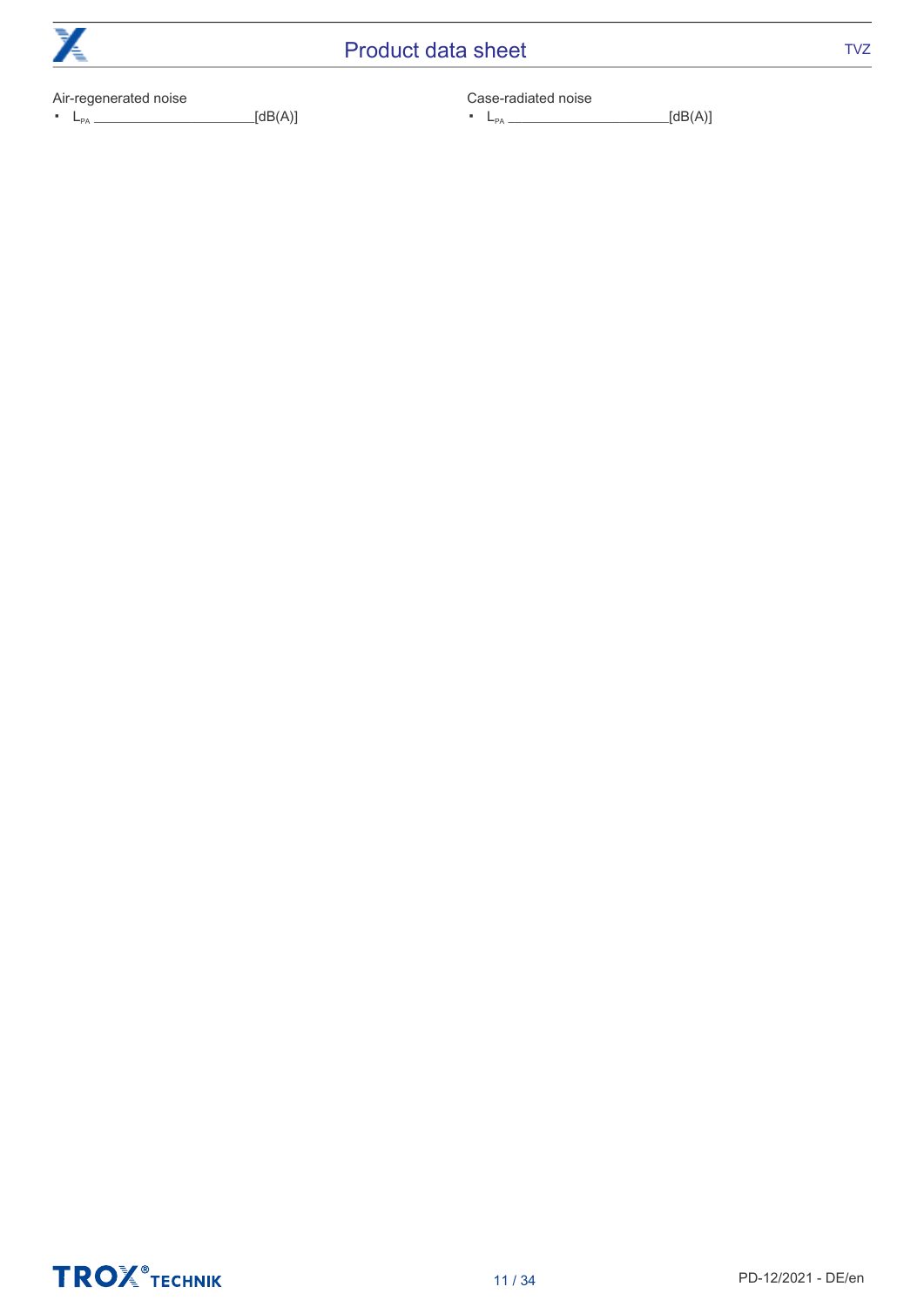

#### Air-regenerated noise

•  $L_{PA}$   $[dB(A)]$  •

Case-radiated noise

•  $L_{PA}$   $[dB(A)]$ 

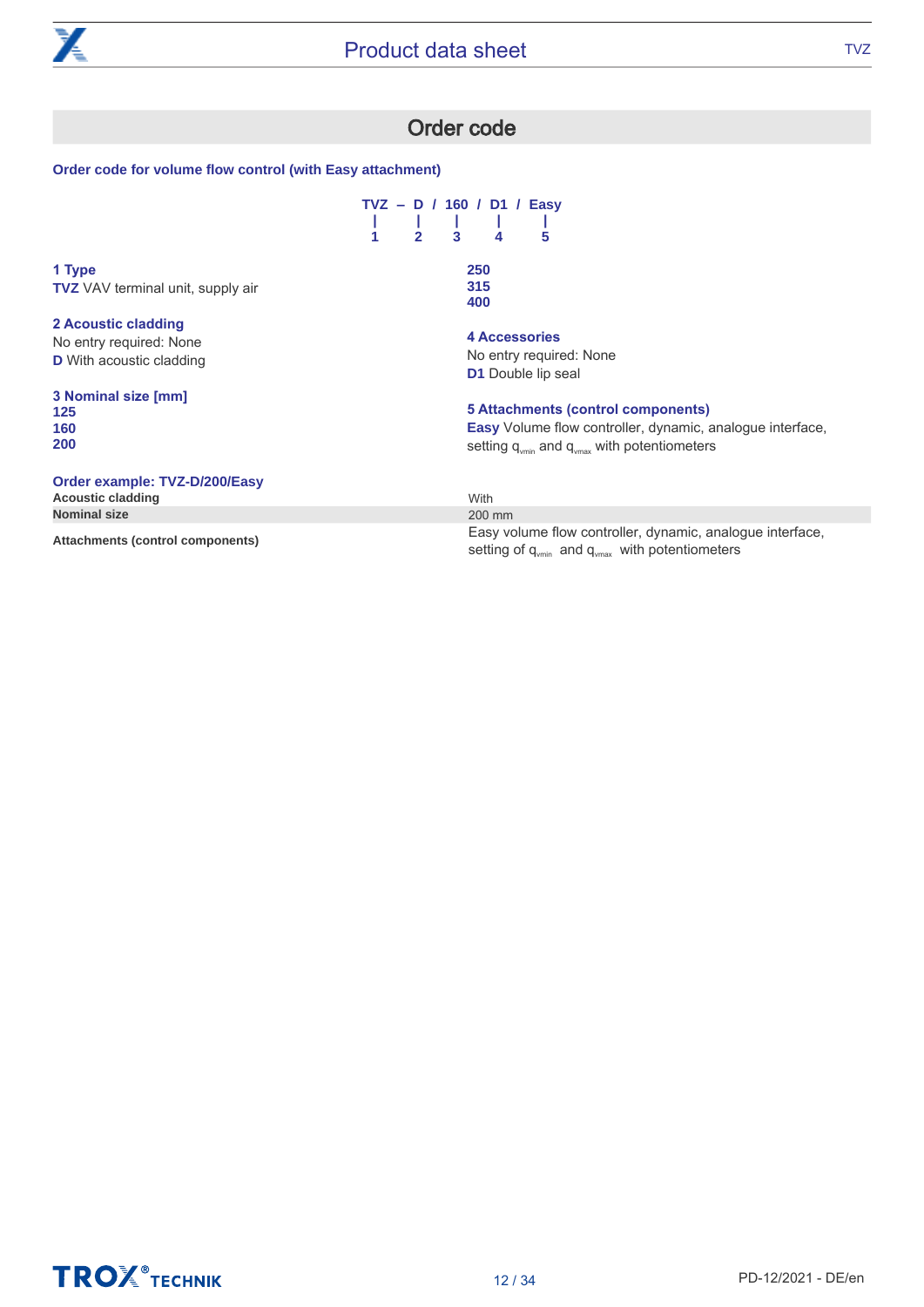

## Order code

<span id="page-11-0"></span>**Order code for volume flow control (with Easy attachment)**

|                                   | $TVZ - D / 160 / D1 / Easy$<br>$\begin{array}{cccc}   &   &   \\ 2 & 3 & 4 \end{array}$<br>5                                        |
|-----------------------------------|-------------------------------------------------------------------------------------------------------------------------------------|
| 1 Type                            | 250                                                                                                                                 |
| TVZ VAV terminal unit, supply air | 315<br>400                                                                                                                          |
| <b>2 Acoustic cladding</b>        |                                                                                                                                     |
| No entry required: None           | <b>4 Accessories</b>                                                                                                                |
| D With acoustic cladding          | No entry required: None                                                                                                             |
|                                   | D1 Double lip seal                                                                                                                  |
| 3 Nominal size [mm]               |                                                                                                                                     |
| 125                               | <b>5 Attachments (control components)</b>                                                                                           |
| 160                               | Easy Volume flow controller, dynamic, analogue interface,                                                                           |
| 200                               | setting $q_{\text{win}}$ and $q_{\text{max}}$ with potentiometers                                                                   |
| Order example: TVZ-D/200/Easy     |                                                                                                                                     |
| Acoustic cladding                 | With                                                                                                                                |
| Nominal size                      | 200 mm                                                                                                                              |
| Attachments (control components)  | Easy volume flow controller, dynamic, analogue interface,<br>setting of $q_{\text{vmin}}$ and $q_{\text{vmax}}$ with potentiometers |
|                                   |                                                                                                                                     |

![](_page_11_Picture_6.jpeg)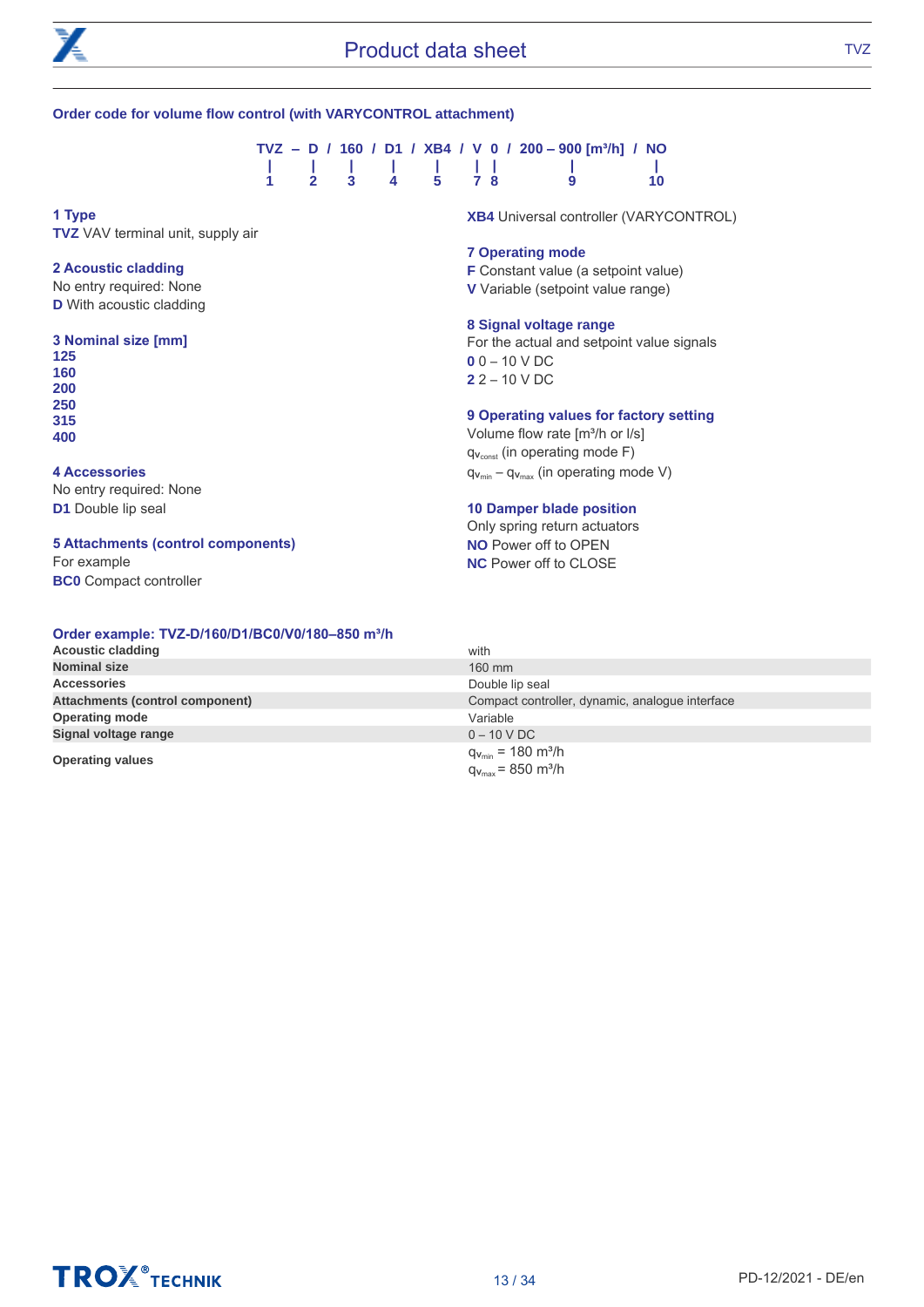![](_page_12_Picture_0.jpeg)

#### **Order code for volume flow control (with VARYCONTROL attachment)**

|  |  |  |  |               |  |  | TVZ - D / 160 / D1 / XB4 / V 0 / 200 - 900 [m <sup>3</sup> /h] / NO |  |
|--|--|--|--|---------------|--|--|---------------------------------------------------------------------|--|
|  |  |  |  |               |  |  |                                                                     |  |
|  |  |  |  | 1 2 3 4 5 7 8 |  |  |                                                                     |  |

**7 Operating mode**

**8 Signal voltage range**

Volume flow rate [m<sup>3</sup>/h or l/s]  $q_{V_{\text{const}}}$  (in operating mode F)  $q_{v_{min}} - q_{v_{max}}$  (in operating mode V)

**10 Damper blade position** Only spring return actuators **NO** Power off to OPEN **NC** Power off to CLOSE

**0** 0 – 10 V DC **2** 2 – 10 V DC

**XB4** Universal controller (VARYCONTROL)

**F** Constant value (a setpoint value) **V** Variable (setpoint value range)

For the actual and setpoint value signals

**9 Operating values for factory setting**

**1 Type**

**TVZ** VAV terminal unit, supply air

#### **2 Acoustic cladding**

No entry required: None **D** With acoustic cladding

#### **3 Nominal size [mm]**

#### **4 Accessories**

No entry required: None **D1** Double lip seal

#### **5 Attachments (control components)**

For example **BC0** Compact controller

#### **Order example: TVZ-D/160/D1/BC0/V0/180–850 m³/h**

| Acoustic cladding               | with                                            |
|---------------------------------|-------------------------------------------------|
| Nominal size                    | 160 mm                                          |
| Accessories                     | Double lip seal                                 |
| Attachments (control component) | Compact controller, dynamic, analogue interface |
| Operating mode                  | Variable                                        |
| Signal voltage range            | $0 - 10 VDC$                                    |
| Operating values                | $q_{v_{min}}$ = 180 m <sup>3</sup> /h           |
|                                 | $q_{v_{max}}$ = 850 m <sup>3</sup> /h           |

## **TROX**<sup>®</sup>TECHNIK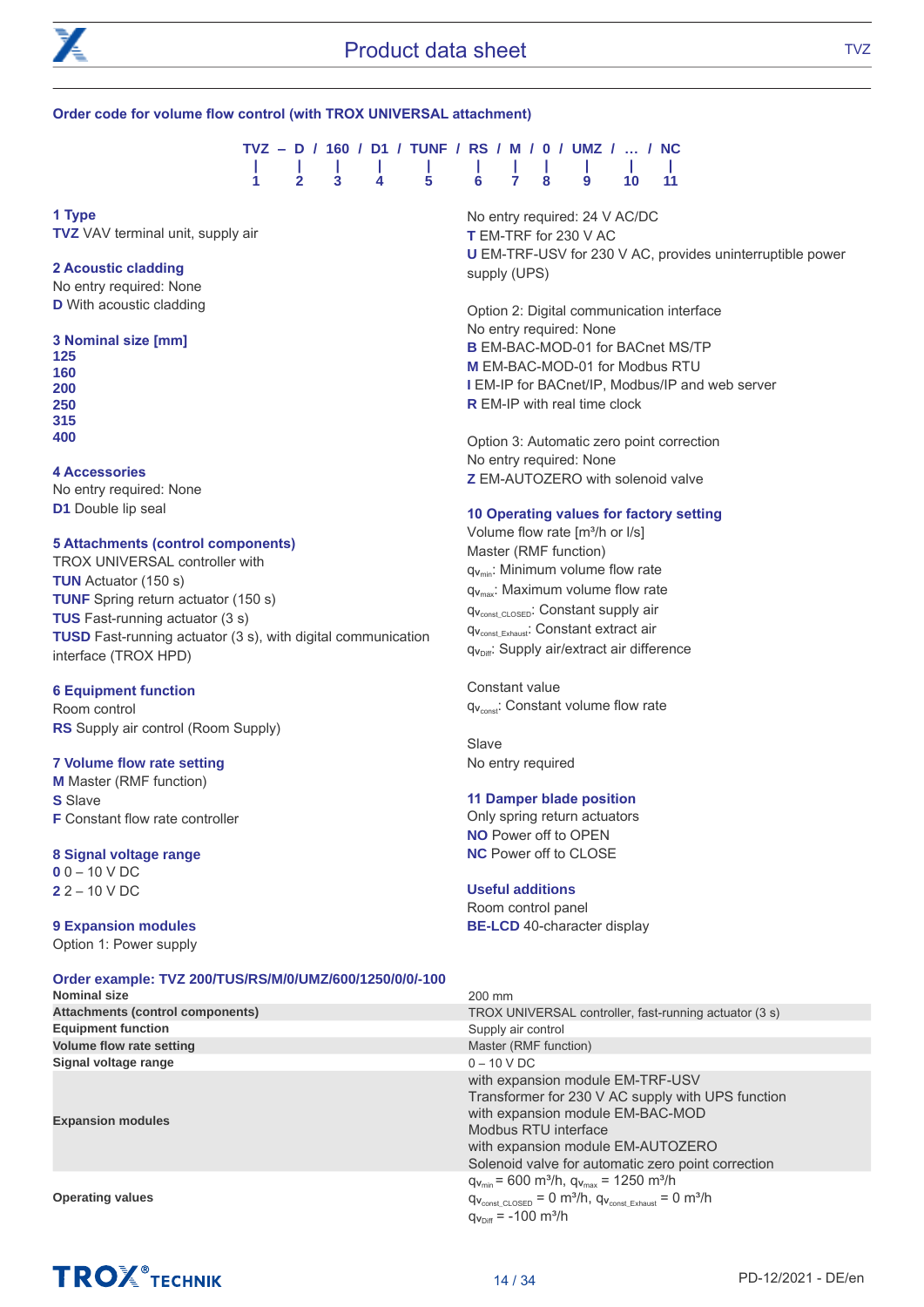![](_page_13_Picture_0.jpeg)

#### **Order code for volume flow control (with TROX UNIVERSAL attachment)**

|  |  | TVZ - D / 160 / D1 / TUNF / RS / M / 0 / UMZ /  / NC |  |  |  |
|--|--|------------------------------------------------------|--|--|--|
|  |  | .                                                    |  |  |  |
|  |  | 1 2 3 4 5 6 7 8 9 10 11                              |  |  |  |

**1 Type**

**TVZ** VAV terminal unit, supply air

#### **2 Acoustic cladding**

No entry required: None **D** With acoustic cladding

#### **3 Nominal size [mm]**

#### **4 Accessories**

No entry required: None **D1** Double lip seal

#### **5 Attachments (control components)**

TROX UNIVERSAL controller with **TUN** Actuator (150 s) **TUNF** Spring return actuator (150 s) **TUS** Fast-running actuator (3 s) **TUSD** Fast-running actuator (3 s), with digital communication interface (TROX HPD)

#### **6 Equipment function**

Room control **RS** Supply air control (Room Supply)

#### **7 Volume flow rate setting**

**M** Master (RMF function) **S** Slave

**F** Constant flow rate controller

#### **8 Signal voltage range 0** 0 – 10 V DC

**2** 2 – 10 V DC

#### **9 Expansion modules** Option 1: Power supply

#### **Order example: TVZ 200/TUS/RS/M/0/UMZ/600/1250/0/0/-100**

No entry required: 24 V AC/DC **T** EM-TRF for 230 V AC **U** EM-TRF-USV for 230 V AC, provides uninterruptible power supply (UPS)

Option 2: Digital communication interface No entry required: None **B** EM-BAC-MOD-01 for BACnet MS/TP **M** EM-BAC-MOD-01 for Modbus RTU **I** EM-IP for BACnet/IP, Modbus/IP and web server **R** EM-IP with real time clock

Option 3: Automatic zero point correction No entry required: None **Z** EM-AUTOZERO with solenoid valve

#### **10 Operating values for factory setting**

Volume flow rate [m<sup>3</sup>/h or l/s] Master (RMF function) q<sub>vmin</sub>: Minimum volume flow rate qv<sub>max</sub>: Maximum volume flow rate qv<sub>const CLOSED</sub>: Constant supply air qᵥconst\_Exhaust: Constant extract air q<sub>v<sub>Diff</sub>: Supply air/extract air difference</sub>

Constant value q<sub>vconst</sub>: Constant volume flow rate

Slave No entry required

#### **11 Damper blade position**

Only spring return actuators **NO** Power off to OPEN **NC** Power off to CLOSE

#### **Useful additions**

Room control panel **BE-LCD** 40-character display

| Order example: TVZ 200/TOS/RS/M/0/UMZ/600/1250/0/0/-100<br>Nominal size | $200 \text{ mm}$                                                                                                                                                                                                                               |
|-------------------------------------------------------------------------|------------------------------------------------------------------------------------------------------------------------------------------------------------------------------------------------------------------------------------------------|
| Attachments (control components)                                        | TROX UNIVERSAL controller, fast-running actuator (3 s)                                                                                                                                                                                         |
| Equipment function                                                      | Supply air control                                                                                                                                                                                                                             |
| Volume flow rate setting                                                | Master (RMF function)                                                                                                                                                                                                                          |
| Signal voltage range                                                    | $0 - 10$ V DC                                                                                                                                                                                                                                  |
| <b>Expansion modules</b>                                                | with expansion module EM-TRF-USV<br>Transformer for 230 V AC supply with UPS function<br>with expansion module EM-BAC-MOD<br>Modbus RTU interface<br>with expansion module EM-AUTOZERO<br>Solenoid valve for automatic zero point correction   |
| Operating values                                                        | $q_{v_{min}}$ = 600 m <sup>3</sup> /h, $q_{v_{max}}$ = 1250 m <sup>3</sup> /h<br>$q_{v_{\text{const\_CLOSED}}} = 0$ m <sup>3</sup> /h, $q_{v_{\text{const\_Exhaust}}} = 0$ m <sup>3</sup> /h<br>$q_{V_{\text{Diff}}}$ = -100 m <sup>3</sup> /h |

![](_page_13_Picture_35.jpeg)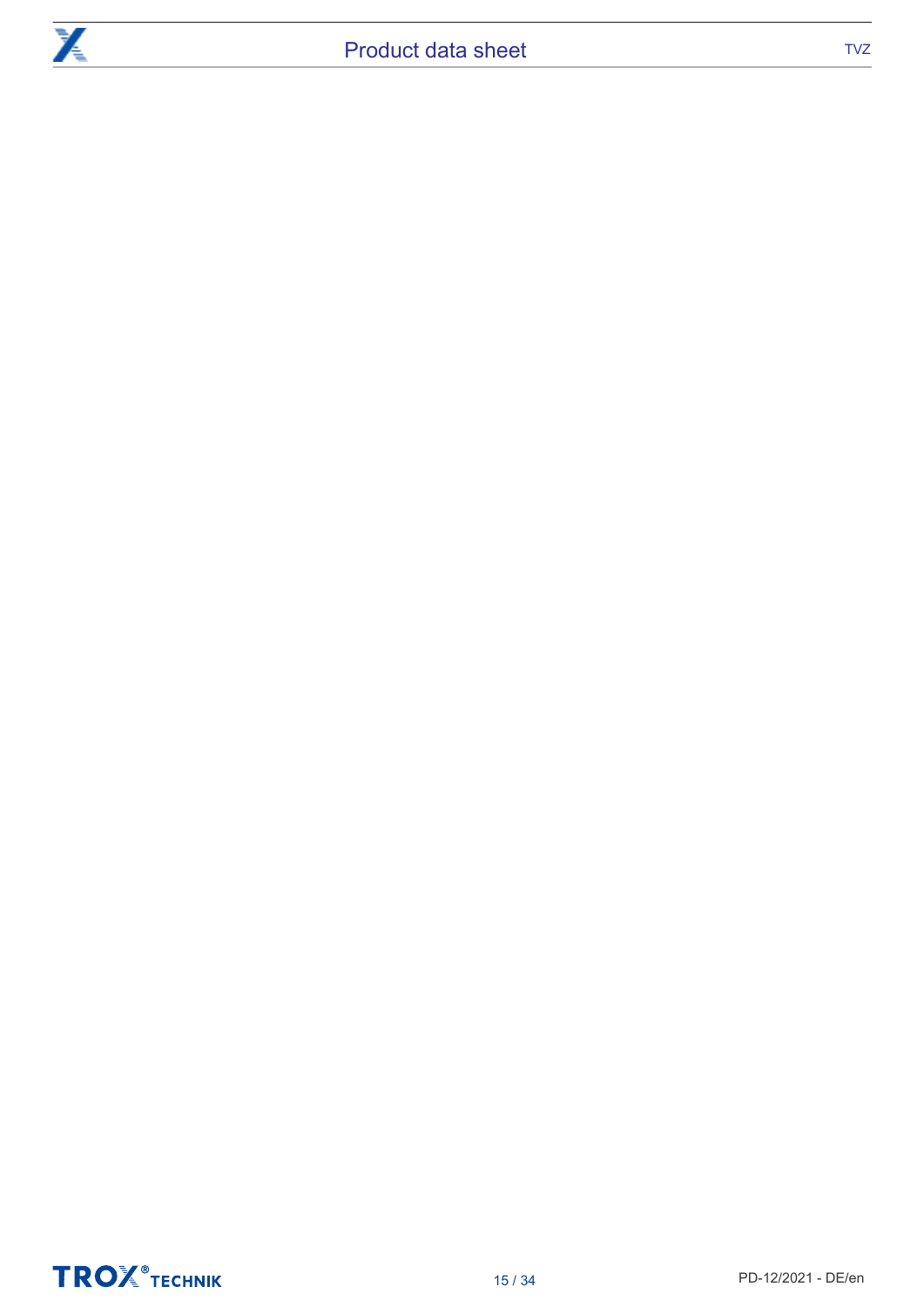![](_page_14_Picture_0.jpeg)

![](_page_14_Picture_3.jpeg)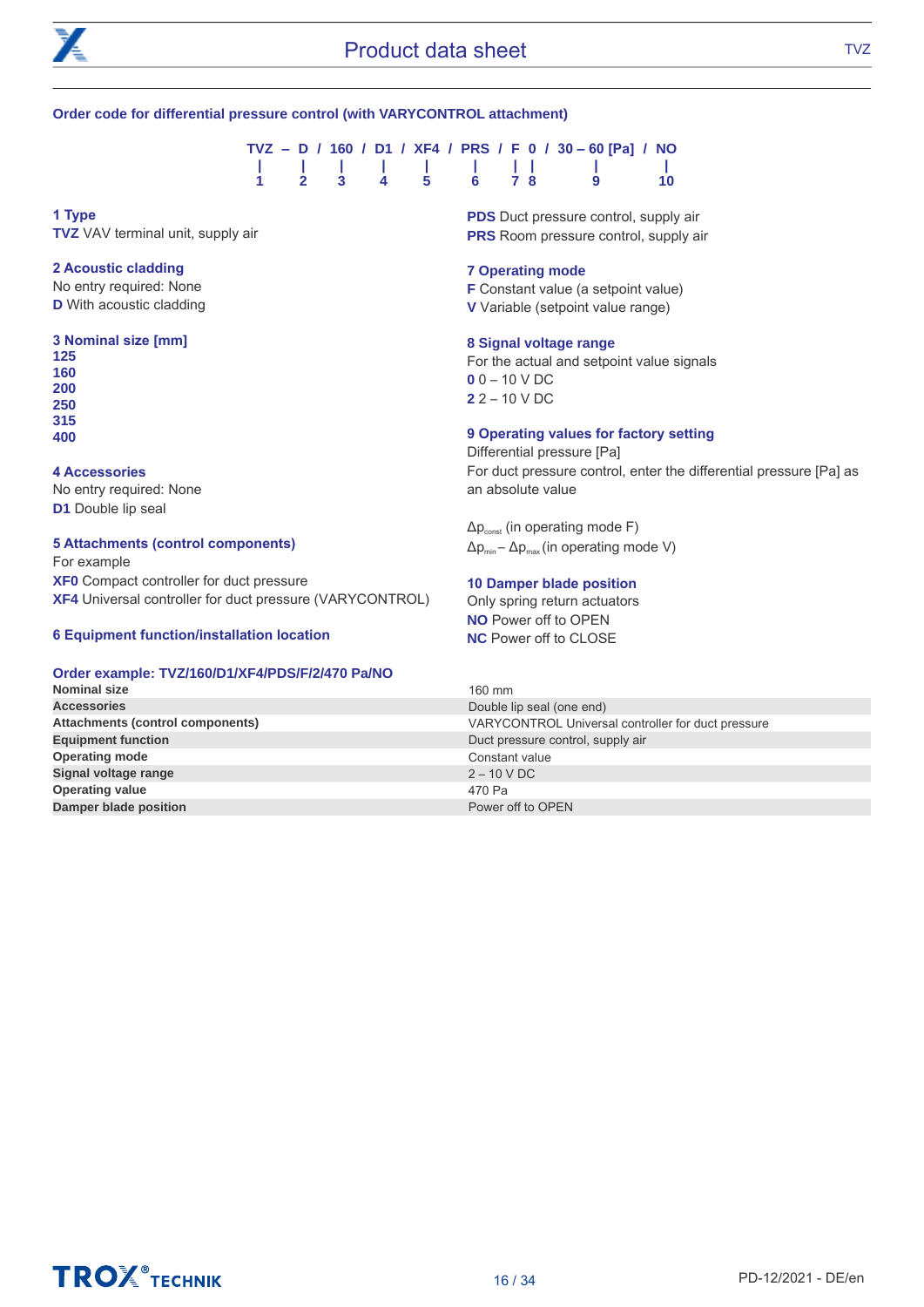![](_page_15_Picture_0.jpeg)

#### **Order code for differential pressure control (with VARYCONTROL attachment)**

|  |  |  |  |  |  |  | TVZ - D / 160 / D1 / XF4 / PRS / F 0 / <b>30 - 60 [Pa]</b> / NO |  |
|--|--|--|--|--|--|--|-----------------------------------------------------------------|--|
|  |  |  |  |  |  |  |                                                                 |  |
|  |  |  |  |  |  |  | 1 2 3 4 5 6 7 8 9 10                                            |  |

**1 Type**

**TVZ** VAV terminal unit, supply air

#### **2 Acoustic cladding**

No entry required: None **D** With acoustic cladding

#### **3 Nominal size [mm]**

#### **4 Accessories**

No entry required: None **D1** Double lip seal

#### **5 Attachments (control components)**

For example **XF0** Compact controller for duct pressure **XF4** Universal controller for duct pressure (VARYCONTROL)

#### **6 Equipment function/installation location**

#### **Order example: TVZ/160/D1/XF4/PDS/F/2/470 Pa/NO**

**Nominal size** 160 mm **Accessories Double lip seal (one end) Double lip seal (one end) Equipment function Duct pressure control, supply air Duct pressure control, supply air Operating mode** Constant value **Signal voltage range** 2 – 10 V DC<br> **Operating value** 2 – 10 V DC<br>
2 – 10 V DC **Operating value Damper blade position Power off to OPEN** 

**PDS** Duct pressure control, supply air **PRS** Room pressure control, supply air

#### **7 Operating mode**

**F** Constant value (a setpoint value) **V** Variable (setpoint value range)

#### **8 Signal voltage range**

For the actual and setpoint value signals **0** 0 – 10 V DC **2** 2 – 10 V DC

#### **9 Operating values for factory setting**

Differential pressure [Pa] For duct pressure control, enter the differential pressure [Pa] as an absolute value

 $\Delta p_{\text{const}}$  (in operating mode F)  $Δp<sub>min</sub> – Δp<sub>max</sub>$  (in operating mode V)

#### **10 Damper blade position**

Only spring return actuators **NO** Power off to OPEN **NC** Power off to CLOSE

**Attachments (control components)** VARYCONTROL Universal controller for duct pressure

![](_page_15_Picture_29.jpeg)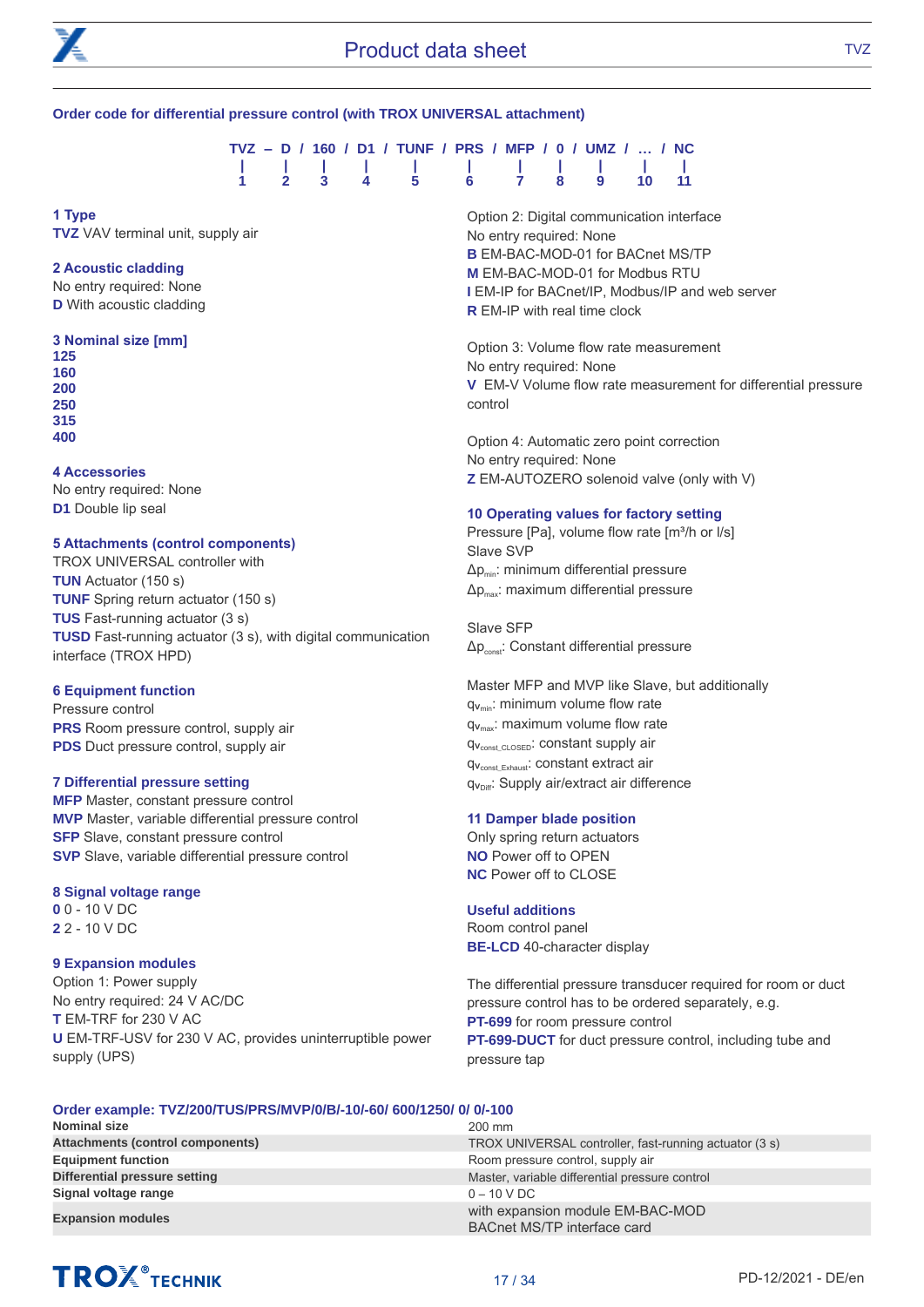![](_page_16_Picture_0.jpeg)

#### **Order code for differential pressure control (with TROX UNIVERSAL attachment)**

|  |  | TVZ - D / 160 / D1 / TUNF / PRS / MFP / 0 / UMZ /  / NC |  |  |  |
|--|--|---------------------------------------------------------|--|--|--|
|  |  |                                                         |  |  |  |
|  |  | 1 2 3 4 5 6 7 8 9 10 11                                 |  |  |  |

#### **1 Type**

**TVZ** VAV terminal unit, supply air

#### **2 Acoustic cladding**

No entry required: None **D** With acoustic cladding

#### **3 Nominal size [mm]**

#### **4 Accessories**

No entry required: None **D1** Double lip seal

#### **5 Attachments (control components)**

TROX UNIVERSAL controller with **TUN** Actuator (150 s) **TUNF** Spring return actuator (150 s) **TUS** Fast-running actuator (3 s) **TUSD** Fast-running actuator (3 s), with digital communication interface (TROX HPD)

#### **6 Equipment function**

Pressure control **PRS** Room pressure control, supply air **PDS** Duct pressure control, supply air

#### **7 Differential pressure setting**

**MFP** Master, constant pressure control **MVP** Master, variable differential pressure control **SFP** Slave, constant pressure control **SVP** Slave, variable differential pressure control

#### **8 Signal voltage range 0** 0 - 10 V DC

**2** 2 - 10 V DC

#### **9 Expansion modules**

Option 1: Power supply No entry required: 24 V AC/DC **T** EM-TRF for 230 V AC **U** EM-TRF-USV for 230 V AC, provides uninterruptible power supply (UPS)

Option 2: Digital communication interface No entry required: None **B** EM-BAC-MOD-01 for BACnet MS/TP **M** EM-BAC-MOD-01 for Modbus RTU **I** EM-IP for BACnet/IP, Modbus/IP and web server **R** EM-IP with real time clock

Option 3: Volume flow rate measurement No entry required: None **V** EM-V Volume flow rate measurement for differential pressure control

Option 4: Automatic zero point correction No entry required: None **Z** EM-AUTOZERO solenoid valve (only with V)

#### **10 Operating values for factory setting**

Pressure [Pa], volume flow rate [m3/h or l/s] Slave SVP  $\Delta p_{min}$ : minimum differential pressure  $\Delta p_{\text{max}}$ : maximum differential pressure

#### Slave SFP  $\Delta p_{\text{const}}$ : Constant differential pressure

Master MFP and MVP like Slave, but additionally  $q_{V_{min}}$ : minimum volume flow rate  $q_{v_{\text{max}}}$ : maximum volume flow rate qv<sub>const CLOSED</sub>: constant supply air qv<sub>const</sub> Exhaust: constant extract air q<sub>vDiff</sub>: Supply air/extract air difference

#### **11 Damper blade position**

Only spring return actuators **NO** Power off to OPEN **NC** Power off to CLOSE

#### **Useful additions** Room control panel **BE-LCD** 40-character display

The differential pressure transducer required for room or duct pressure control has to be ordered separately, e.g. **PT-699** for room pressure control **PT-699-DUCT** for duct pressure control, including tube and pressure tap

#### **Order example: TVZ/200/TUS/PRS/MVP/0/B/-10/-60/ 600/1250/ 0/ 0/-100**

| Nominal size                     | 200 mm                                                          |
|----------------------------------|-----------------------------------------------------------------|
| Attachments (control components) | TROX UNIVERSAL controller, fast-running actuator (3 s)          |
| Equipment function               | Room pressure control, supply air                               |
| Differential pressure setting    | Master, variable differential pressure control                  |
| Signal voltage range             | $0 - 10 VDC$                                                    |
| <b>Expansion modules</b>         | with expansion module EM-BAC-MOD<br>BACnet MS/TP interface card |

![](_page_16_Picture_35.jpeg)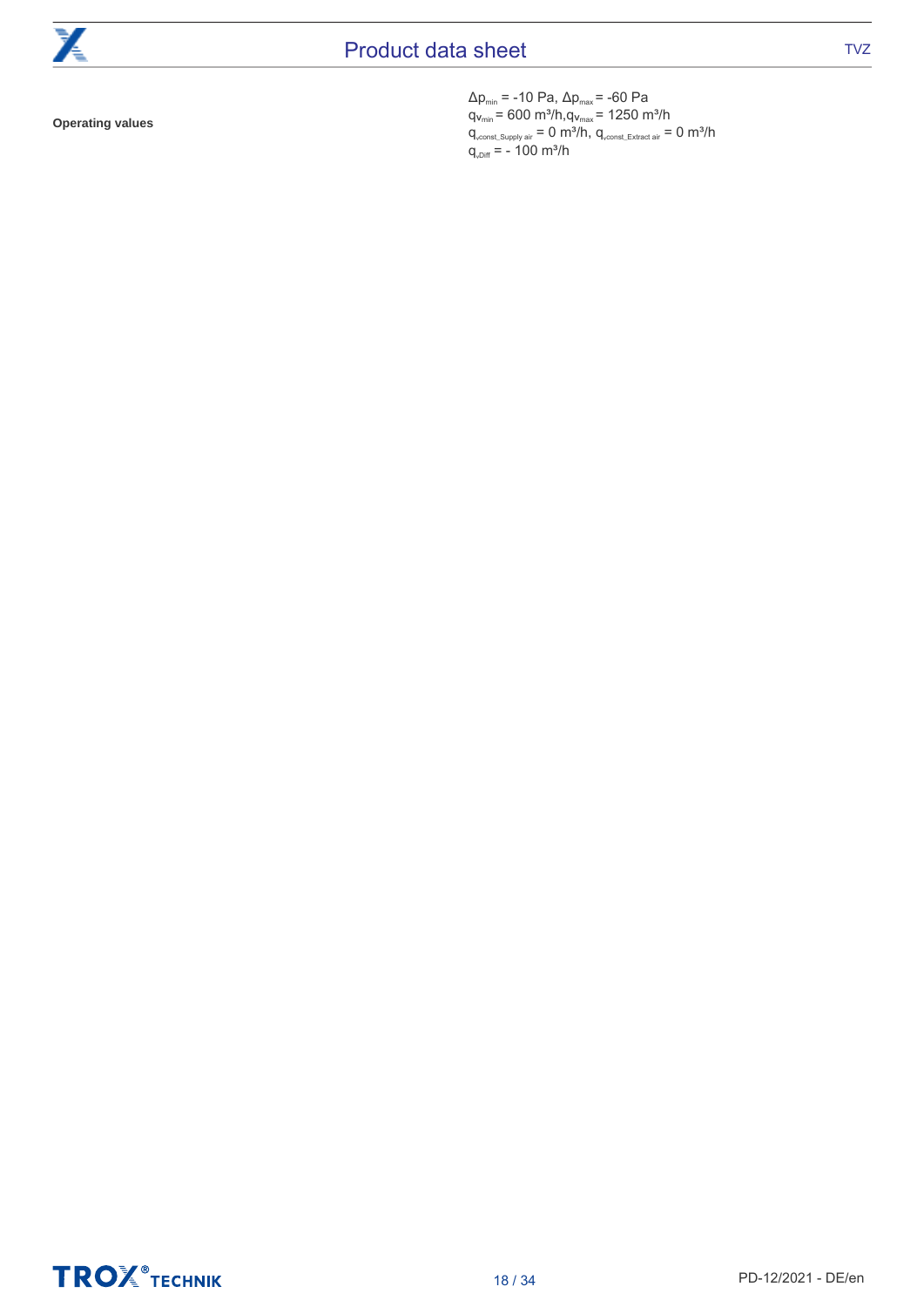![](_page_17_Picture_0.jpeg)

**Operating values**

 $Δp<sub>min</sub> = -10$  Pa,  $Δp<sub>max</sub> = -60$  Pa  $q_{v_{min}}$  = 600 m<sup>3</sup>/h, $q_{v_{max}}$  = 1250 m<sup>3</sup>/h  $q_{\text{vconst}\_\text{Supply air}} = 0 \text{ m}^3/h$ ,  $q_{\text{vconst}\_\text{Extract air}} = 0 \text{ m}^3/h$  $q_{vDiff}$  = - 100 m<sup>3</sup>/h

![](_page_17_Picture_4.jpeg)

![](_page_17_Picture_5.jpeg)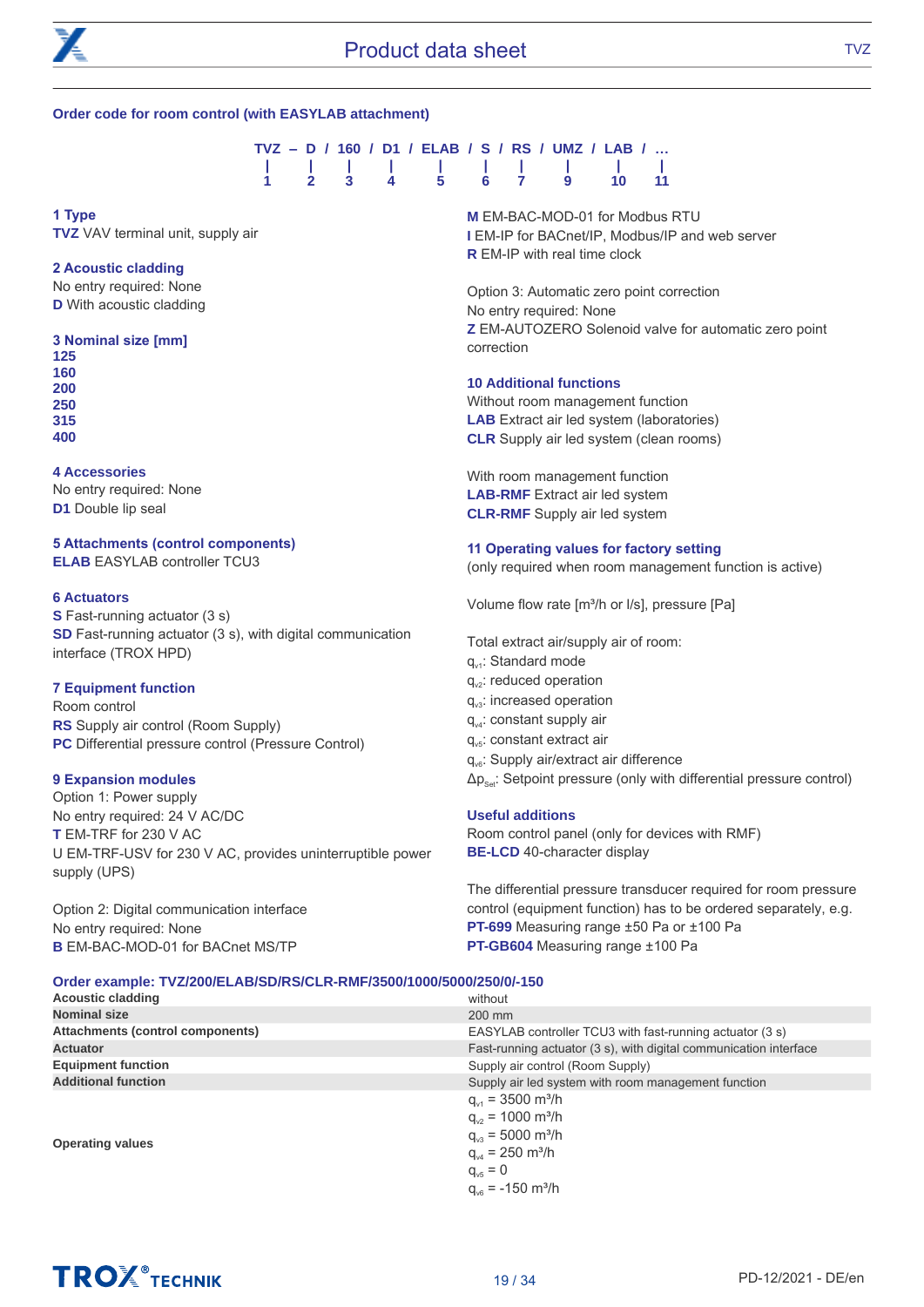![](_page_18_Picture_0.jpeg)

#### **Order code for room control (with EASYLAB attachment)**

#### **TVZ – D / 160 / D1 / ELAB / S / RS / UMZ / LAB / … | | | | | | | | | | 1 2 3 4 5 6 7 9 10 11**

#### **1 Type**

**TVZ** VAV terminal unit, supply air

#### **2 Acoustic cladding**

No entry required: None **D** With acoustic cladding

#### **3 Nominal size [mm]**

#### **4 Accessories**

No entry required: None **D1** Double lip seal

#### **5 Attachments (control components)**

**ELAB** EASYLAB controller TCU3

#### **6 Actuators**

**S** Fast-running actuator (3 s) **SD** Fast-running actuator (3 s), with digital communication interface (TROX HPD)

#### **7 Equipment function**

Room control **RS** Supply air control (Room Supply) **PC** Differential pressure control (Pressure Control)

#### **9 Expansion modules**

Option 1: Power supply No entry required: 24 V AC/DC **T** EM-TRF for 230 V AC U EM-TRF-USV for 230 V AC, provides uninterruptible power supply (UPS)

Option 2: Digital communication interface No entry required: None **B** EM-BAC-MOD-01 for BACnet MS/TP

**M** EM-BAC-MOD-01 for Modbus RTU **I** EM-IP for BACnet/IP, Modbus/IP and web server **R** EM-IP with real time clock

Option 3: Automatic zero point correction No entry required: None **Z** EM-AUTOZERO Solenoid valve for automatic zero point correction

#### **10 Additional functions**

Without room management function **LAB** Extract air led system (laboratories) **CLR** Supply air led system (clean rooms)

With room management function **LAB-RMF** Extract air led system **CLR-RMF** Supply air led system

#### **11 Operating values for factory setting**

(only required when room management function is active)

Volume flow rate [m<sup>3</sup>/h or l/s], pressure [Pa]

Total extract air/supply air of room:

- q<sub>v1</sub>: Standard mode
- q<sub>v2</sub>: reduced operation
- $q_{\text{va}}$ : increased operation
- $q_{\text{val}}$ : constant supply air
- q<sub>v5</sub>: constant extract air
- q<sub>v6</sub>: Supply air/extract air difference

 $\Delta p_{\rm sat}$ : Setpoint pressure (only with differential pressure control)

#### **Useful additions**

Room control panel (only for devices with RMF) **BE-LCD** 40-character display

The differential pressure transducer required for room pressure control (equipment function) has to be ordered separately, e.g. **PT-699** Measuring range ±50 Pa or ±100 Pa **PT-GB604** Measuring range ±100 Pa

#### **Order example: TVZ/200/ELAB/SD/RS/CLR-RMF/3500/1000/5000/250/0/-150**

| Acoustic cladding                | without                                                                                                                                                         |
|----------------------------------|-----------------------------------------------------------------------------------------------------------------------------------------------------------------|
| Nominal size                     | 200 mm                                                                                                                                                          |
| Attachments (control components) | EASYLAB controller TCU3 with fast-running actuator (3 s)                                                                                                        |
| Actuator                         | Fast-running actuator (3 s), with digital communication interface                                                                                               |
| Equipment function               | Supply air control (Room Supply)                                                                                                                                |
| Additional function              | Supply air led system with room management function                                                                                                             |
| Operating values                 | $q_{v1}$ = 3500 m <sup>3</sup> /h<br>$q_{00} = 1000$ m <sup>3</sup> /h<br>$q_{12} = 5000$ m <sup>3</sup> /h<br>$q_{vd}$ = 250 m <sup>3</sup> /h<br>$q_{v5} = 0$ |
|                                  | $q_{\text{eq}} = -150 \text{ m}^3/\text{h}$                                                                                                                     |

![](_page_18_Picture_42.jpeg)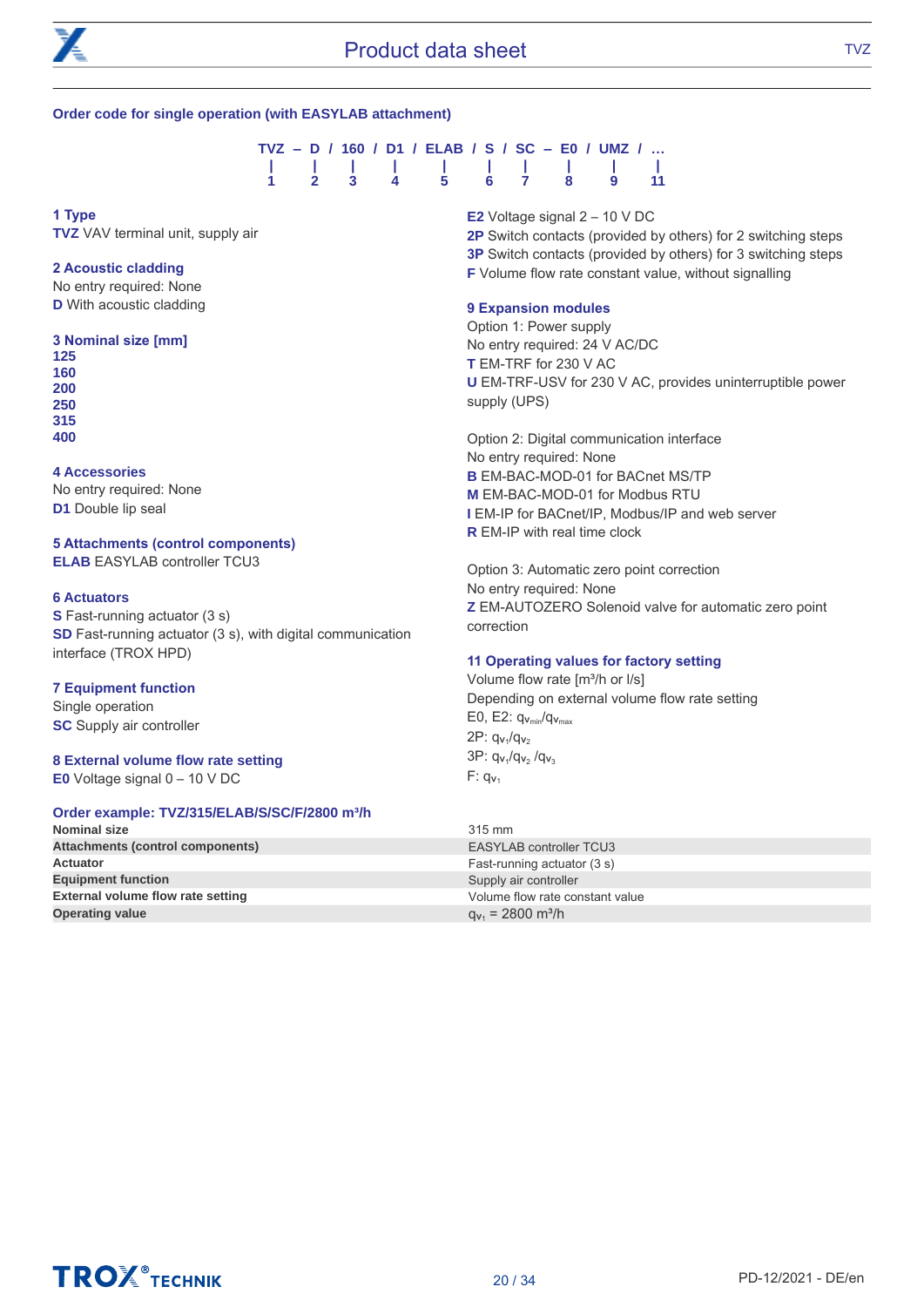![](_page_19_Picture_0.jpeg)

#### **Order code for single operation (with EASYLAB attachment)**

**TVZ – D / 160 / D1 / ELAB / S / SC – E0 / UMZ / … | | | | | | | | | | 1 2 3 4 5 6 7 8 9 11**

#### **1 Type**

**TVZ** VAV terminal unit, supply air

#### **2 Acoustic cladding**

No entry required: None **D** With acoustic cladding

#### **3 Nominal size [mm]**

#### **4 Accessories**

No entry required: None **D1** Double lip seal

### **5 Attachments (control components)**

## **ELAB** EASYLAB controller TCU3

#### **6 Actuators**

**S** Fast-running actuator (3 s) **SD** Fast-running actuator (3 s), with digital communication interface (TROX HPD)

#### **7 Equipment function**

Single operation **SC** Supply air controller

#### **8 External volume flow rate setting E0** Voltage signal 0 – 10 V DC

#### **Order example: TVZ/315/ELAB/S/SC/F/2800 m³/h**

**Nominal size** 315 mm **Attachments (control components)** EASYLAB controller TCU3 **Actuator** Fast-running actuator (3 s) **Equipment function** Supply air controller **External volume flow rate setting** Volume flow rate constant value **Operating value** 

**E2** Voltage signal 2 – 10 V DC

**2P** Switch contacts (provided by others) for 2 switching steps **3P** Switch contacts (provided by others) for 3 switching steps **F** Volume flow rate constant value, without signalling

#### **9 Expansion modules**

Option 1: Power supply No entry required: 24 V AC/DC **T** EM-TRF for 230 V AC **U** EM-TRF-USV for 230 V AC, provides uninterruptible power supply (UPS)

Option 2: Digital communication interface No entry required: None **B** EM-BAC-MOD-01 for BACnet MS/TP **M** EM-BAC-MOD-01 for Modbus RTU **I** EM-IP for BACnet/IP, Modbus/IP and web server **R** EM-IP with real time clock

Option 3: Automatic zero point correction No entry required: None **Z** EM-AUTOZERO Solenoid valve for automatic zero point correction

#### **11 Operating values for factory setting**

Volume flow rate [m3/h or l/s] Depending on external volume flow rate setting E0, E2:  $q_{v_{min}}/q_{v_{max}}$  $2P: q_{v_1}/q_{v_2}$  $3P: q_{v_1}/q_{v_2}/q_{v_3}$  $F: q_{V_1}$ 

 $q_{V_1}$  = 2800 m<sup>3</sup>/h

![](_page_19_Picture_30.jpeg)

![](_page_19_Picture_31.jpeg)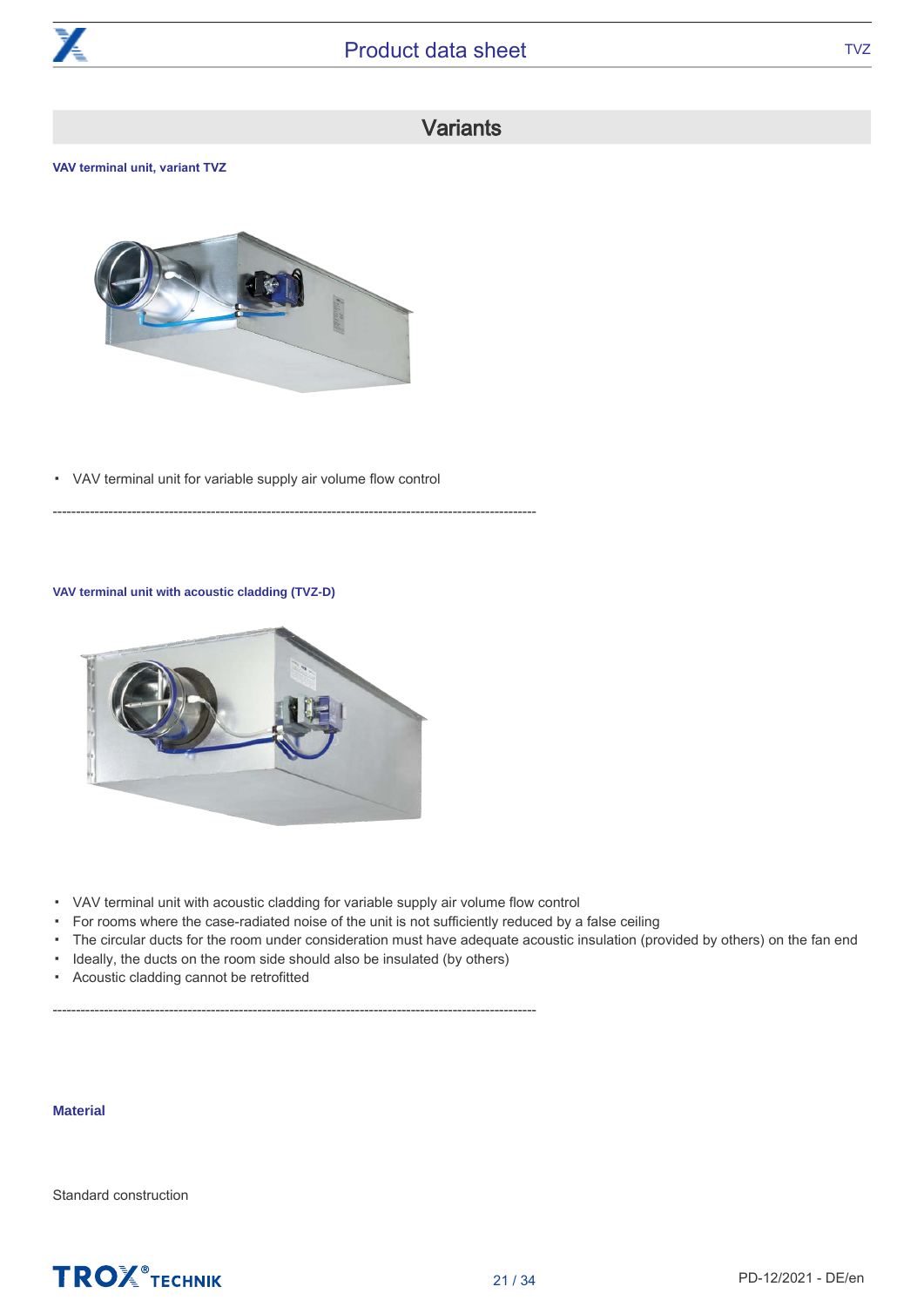![](_page_20_Picture_0.jpeg)

## **Variants**

#### <span id="page-20-0"></span>**VAV terminal unit, variant TVZ**

![](_page_20_Picture_4.jpeg)

▪ VAV terminal unit for variable supply air volume flow control

--------------------------------------------------------------------------------------------------------

**VAV terminal unit with acoustic cladding (TVZ-D)**

![](_page_20_Picture_8.jpeg)

- VAV terminal unit with acoustic cladding for variable supply air volume flow control
- For rooms where the case-radiated noise of the unit is not sufficiently reduced by a false ceiling
- The circular ducts for the room under consideration must have adequate acoustic insulation (provided by others) on the fan end
- Ideally, the ducts on the room side should also be insulated (by others)

--------------------------------------------------------------------------------------------------------

▪ Acoustic cladding cannot be retrofitted

**Material**

Standard construction

![](_page_20_Picture_16.jpeg)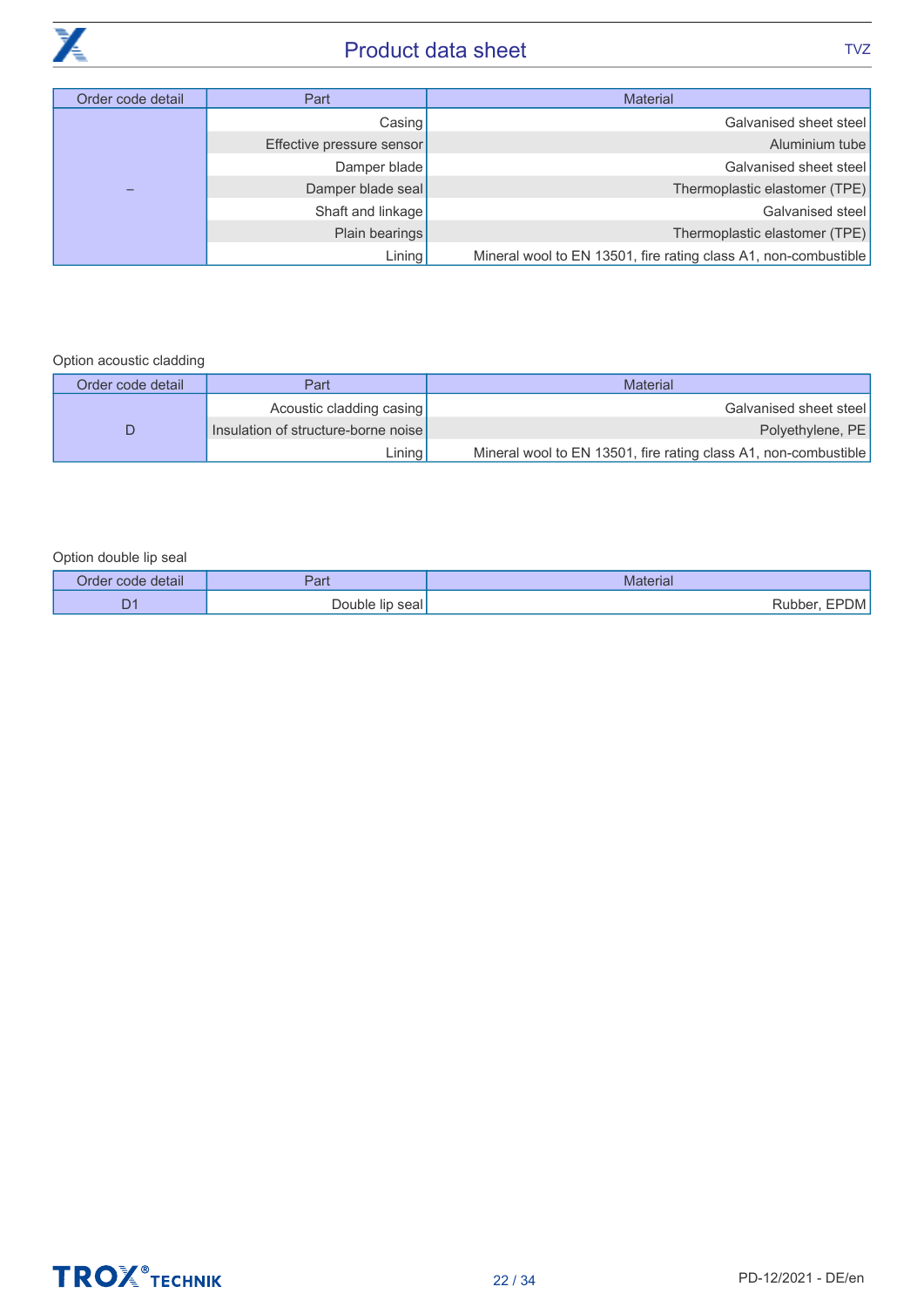![](_page_21_Picture_0.jpeg)

| Order code detail | Part                      | <b>Material</b>                                                 |
|-------------------|---------------------------|-----------------------------------------------------------------|
|                   | Casing                    | Galvanised sheet steel                                          |
|                   | Effective pressure sensor | Aluminium tube                                                  |
|                   | Damper blade              | Galvanised sheet steel                                          |
|                   | Damper blade seal         | Thermoplastic elastomer (TPE)                                   |
|                   | Shaft and linkage         | Galvanised steel                                                |
|                   | Plain bearings            | Thermoplastic elastomer (TPE)                                   |
|                   | Lining                    | Mineral wool to EN 13501, fire rating class A1, non-combustible |

### Option acoustic cladding

| Order code detail | Part                                | <b>Material</b>                                                 |
|-------------------|-------------------------------------|-----------------------------------------------------------------|
|                   | Acoustic cladding casing            | Galvanised sheet steel                                          |
|                   | Insulation of structure-borne noise | Polyethylene, PE                                                |
|                   | Lining                              | Mineral wool to EN 13501, fire rating class A1, non-combustible |

### Option double lip seal

| Order<br>code detail | ai.                   | <b>M<sub>c</sub></b><br>ыю               |
|----------------------|-----------------------|------------------------------------------|
| ∽<br>∾∽.             | Double<br>lid<br>seal | ≺ubber<br>DΜ<br>$\overline{\phantom{0}}$ |

![](_page_21_Picture_7.jpeg)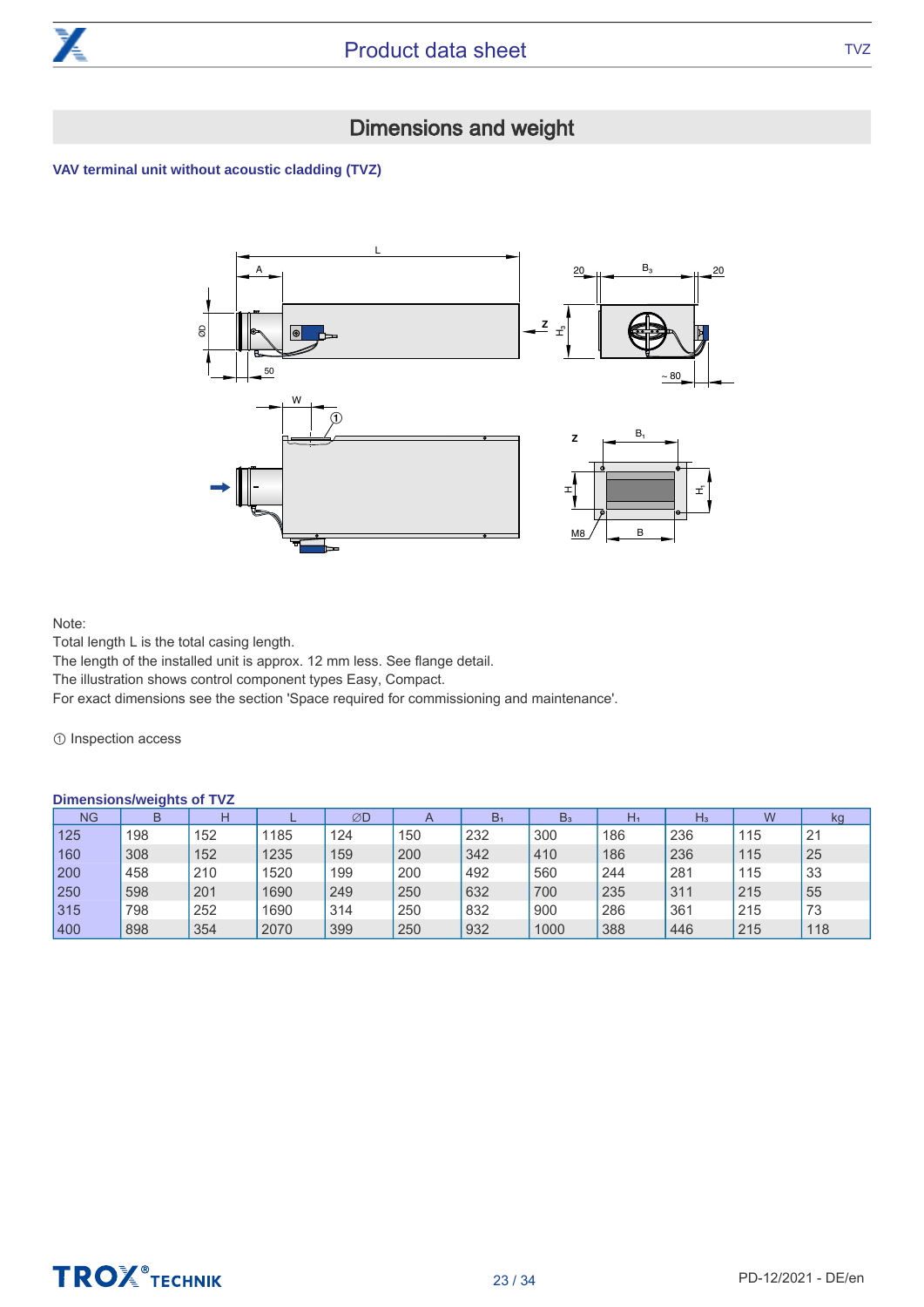![](_page_22_Picture_0.jpeg)

## Dimensions and weight

#### <span id="page-22-0"></span>**VAV terminal unit without acoustic cladding (TVZ)**

![](_page_22_Figure_4.jpeg)

#### Note:

Total length L is the total casing length.

The length of the installed unit is approx. 12 mm less. See flange detail.

The illustration shows control component types Easy, Compact.

For exact dimensions see the section 'Space required for commissioning and maintenance'.

① Inspection access

**Dimensions/weights of TVZ**

| <b>NG</b> | B   | н   |      | ØD  |     | B <sub>1</sub> | B <sub>3</sub> | Ħ1  | $H_3$ | W   | kg  |
|-----------|-----|-----|------|-----|-----|----------------|----------------|-----|-------|-----|-----|
| 125       | 198 | 152 | 1185 | 124 | 150 | 232            | 300            | 186 | 236   | 115 | 21  |
| 160       | 308 | 152 | 1235 | 159 | 200 | 342            | 410            | 186 | 236   | 115 | 25  |
| 200       | 458 | 210 | 1520 | 199 | 200 | 492            | 560            | 244 | 281   | 115 | 33  |
| 250       | 598 | 201 | 1690 | 249 | 250 | 632            | 700            | 235 | 311   | 215 | 55  |
| 315       | 798 | 252 | 1690 | 314 | 250 | 832            | 900            | 286 | 361   | 215 | 73  |
| 400       | 898 | 354 | 2070 | 399 | 250 | 932            | 1000           | 388 | 446   | 215 | 118 |

# **TROX** TECHNIK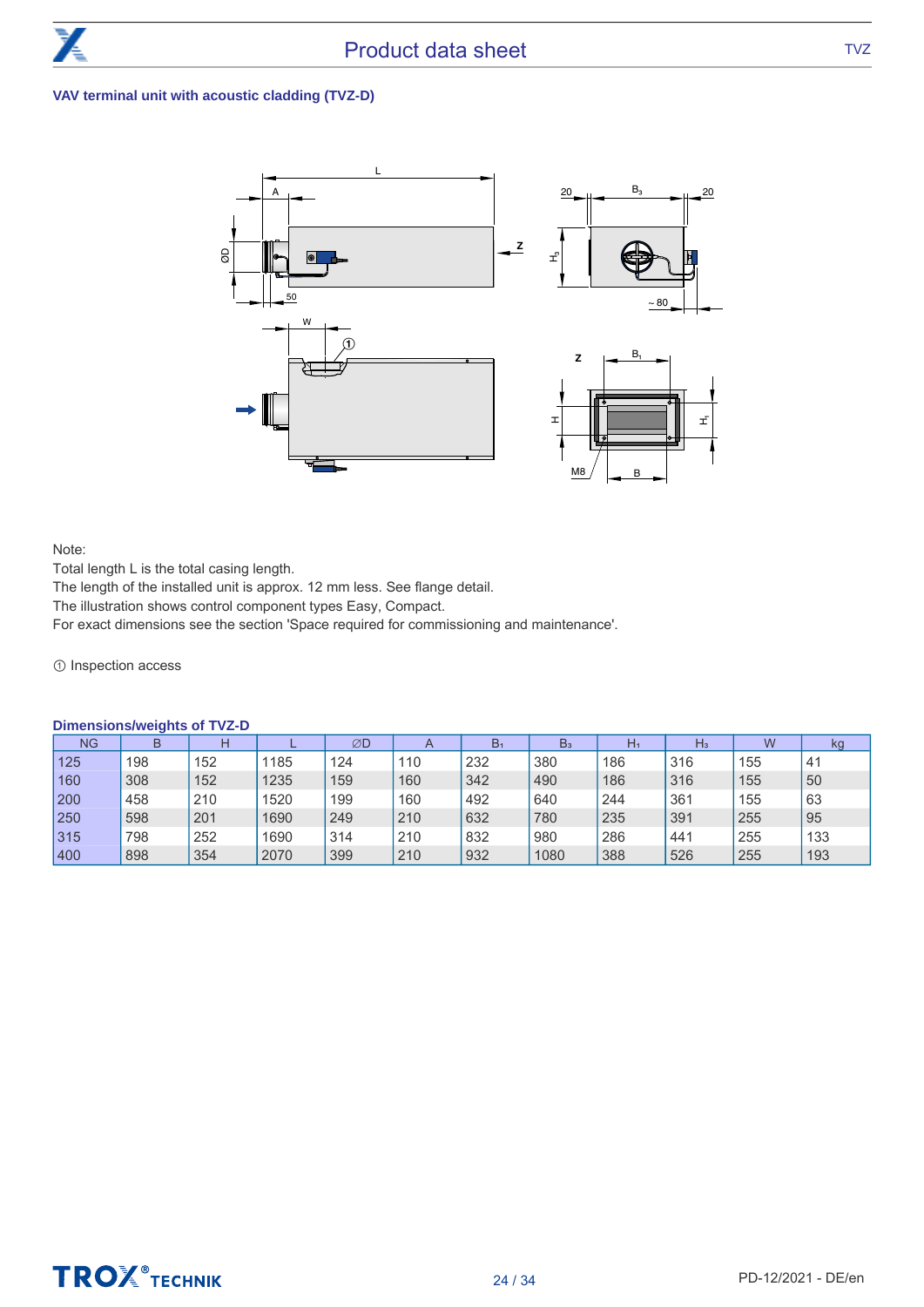![](_page_23_Picture_0.jpeg)

#### **VAV terminal unit with acoustic cladding (TVZ-D)**

![](_page_23_Figure_3.jpeg)

Note:

Total length L is the total casing length.

The length of the installed unit is approx. 12 mm less. See flange detail.

The illustration shows control component types Easy, Compact.

For exact dimensions see the section 'Space required for commissioning and maintenance'.

① Inspection access

| <b>NG</b> | B   |     |      | ØD  |     | B <sub>1</sub> | B <sub>3</sub> | $H_1$ | $H_3$ | W   | kg  |
|-----------|-----|-----|------|-----|-----|----------------|----------------|-------|-------|-----|-----|
| 125       | 198 | 152 | 1185 | 124 | 110 | 232            | 380            | 186   | 316   | 155 | 41  |
| 160       | 308 | 152 | 1235 | 159 | 160 | 342            | 490            | 186   | 316   | 155 | 50  |
| 200       | 458 | 210 | 1520 | 199 | 160 | 492            | 640            | 244   | 361   | 155 | 63  |
| 250       | 598 | 201 | 1690 | 249 | 210 | 632            | 780            | 235   | 391   | 255 | 95  |
| 315       | 798 | 252 | 1690 | 314 | 210 | 832            | 980            | 286   | 441   | 255 | 133 |
| 400       | 898 | 354 | 2070 | 399 | 210 | 932            | 1080           | 388   | 526   | 255 | 193 |

#### **Dimensions/weights of TVZ-D**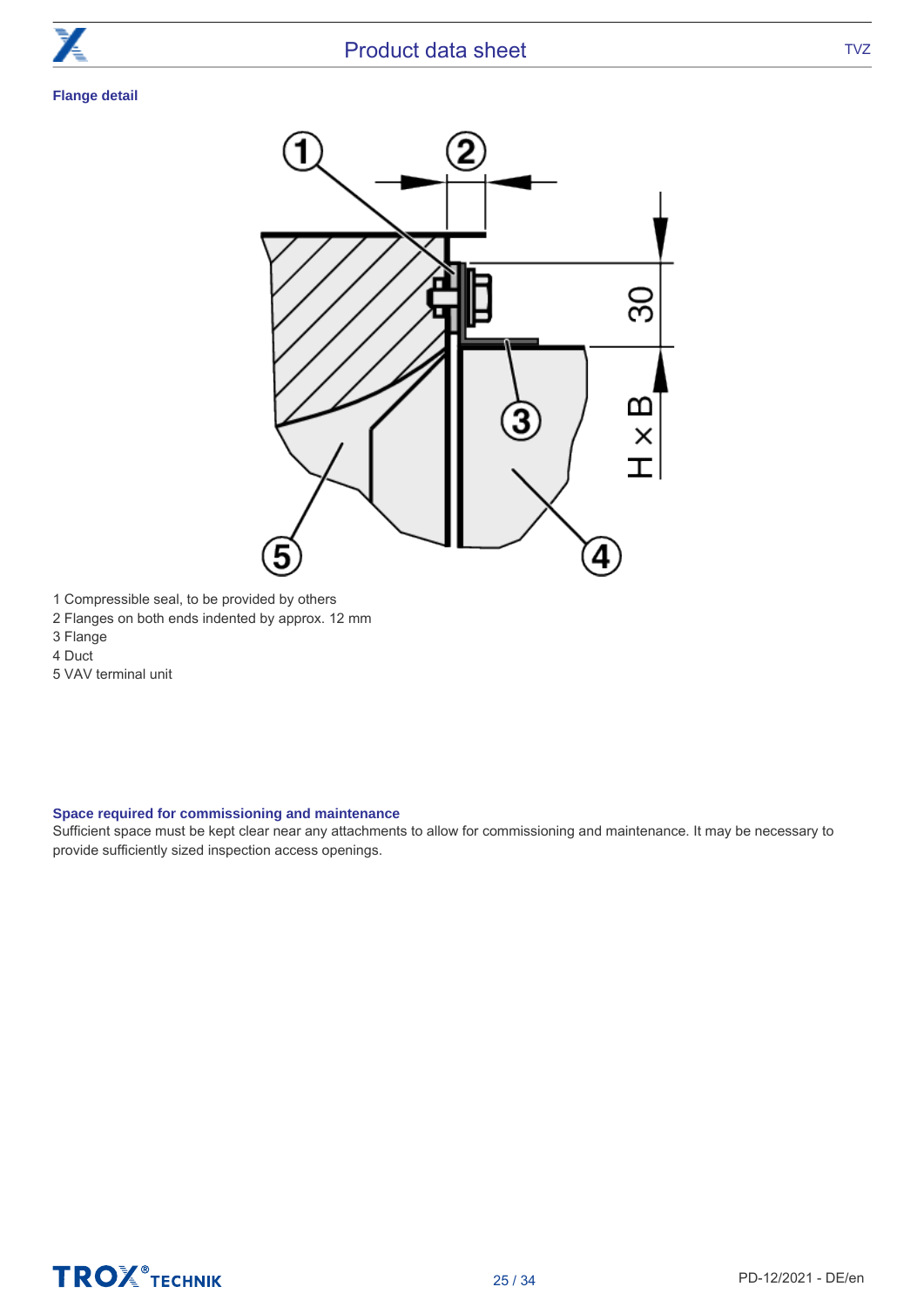![](_page_24_Picture_0.jpeg)

#### **Flange detail**

![](_page_24_Figure_3.jpeg)

1 Compressible seal, to be provided by others

- 2 Flanges on both ends indented by approx. 12 mm
- 3 Flange
- 4 Duct
- 5 VAV terminal unit

#### **Space required for commissioning and maintenance**

Sufficient space must be kept clear near any attachments to allow for commissioning and maintenance. It may be necessary to provide sufficiently sized inspection access openings.

![](_page_24_Picture_11.jpeg)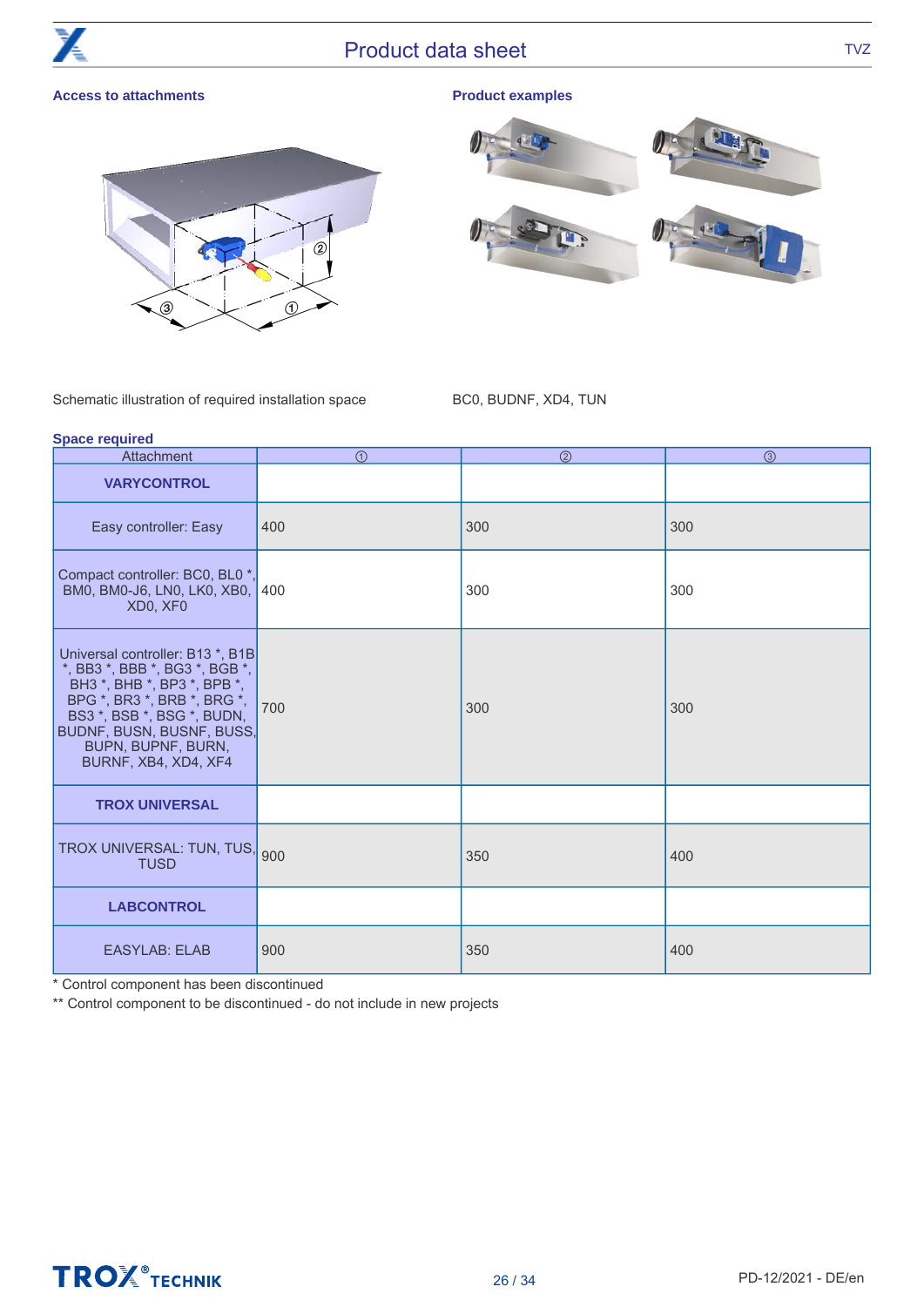![](_page_25_Picture_0.jpeg)

#### **Access to attachments**

**Product examples**

![](_page_25_Picture_4.jpeg)

Schematic illustration of required installation space

BC0, BUDNF, XD4, TUN

| Space required                                                                                                                                                                                                                            |         |     |             |  |  |  |
|-------------------------------------------------------------------------------------------------------------------------------------------------------------------------------------------------------------------------------------------|---------|-----|-------------|--|--|--|
| <b>Attachment</b>                                                                                                                                                                                                                         | $\odot$ | (2) | $\circledS$ |  |  |  |
| <b>VARYCONTROL</b>                                                                                                                                                                                                                        |         |     |             |  |  |  |
| Easy controller: Easy                                                                                                                                                                                                                     | 400     | 300 | 300         |  |  |  |
| Compact controller: BC0, BL0 *,<br>BM0, BM0-J6, LN0, LK0, XB0, 400<br>XD0, XF0                                                                                                                                                            |         | 300 | 300         |  |  |  |
| Universal controller: B13 *, B1B<br>*, BB3 *, BBB *, BG3 *, BGB *,<br>BH3 *, BHB *, BP3 *, BPB *,<br>BPG *, BR3 *, BRB *, BRG *,<br>BS3 *, BSB *, BSG *, BUDN,<br>BUDNF, BUSN, BUSNF, BUSS,<br>BUPN, BUPNF, BURN,<br>BURNF, XB4, XD4, XF4 | 700     | 300 | 300         |  |  |  |
| <b>TROX UNIVERSAL</b>                                                                                                                                                                                                                     |         |     |             |  |  |  |
| TROX UNIVERSAL: TUN, TUS, 900<br><b>TUSD</b>                                                                                                                                                                                              |         | 350 | 400         |  |  |  |
| <b>LABCONTROL</b>                                                                                                                                                                                                                         |         |     |             |  |  |  |
| <b>EASYLAB: ELAB</b>                                                                                                                                                                                                                      | 900     | 350 | 400         |  |  |  |

\* Control component has been discontinued

\*\* Control component to be discontinued - do not include in new projects

![](_page_25_Picture_10.jpeg)

![](_page_25_Picture_11.jpeg)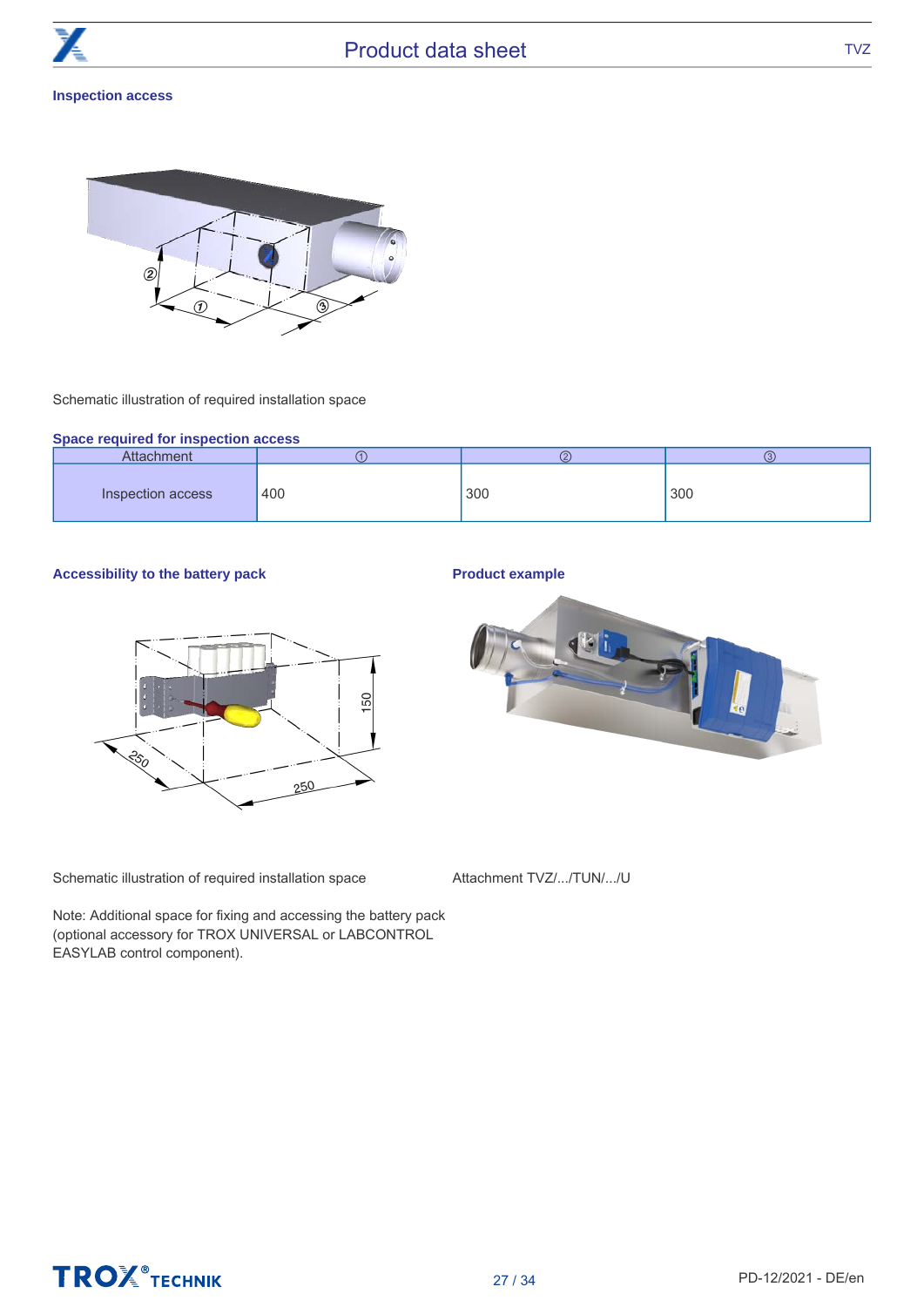![](_page_26_Picture_0.jpeg)

#### **Inspection access**

![](_page_26_Picture_3.jpeg)

#### Schematic illustration of required installation space

**Space required for inspection access**

| Attachment        |     |     | 3   |
|-------------------|-----|-----|-----|
| Inspection access | 400 | 300 | 300 |

**Accessibility to the battery pack**

![](_page_26_Picture_8.jpeg)

Schematic illustration of required installation space

Note: Additional space for fixing and accessing the battery pack (optional accessory for TROX UNIVERSAL or LABCONTROL EASYLAB control component).

#### **Product example**

![](_page_26_Picture_12.jpeg)

Attachment TVZ/.../TUN/.../U

![](_page_26_Picture_15.jpeg)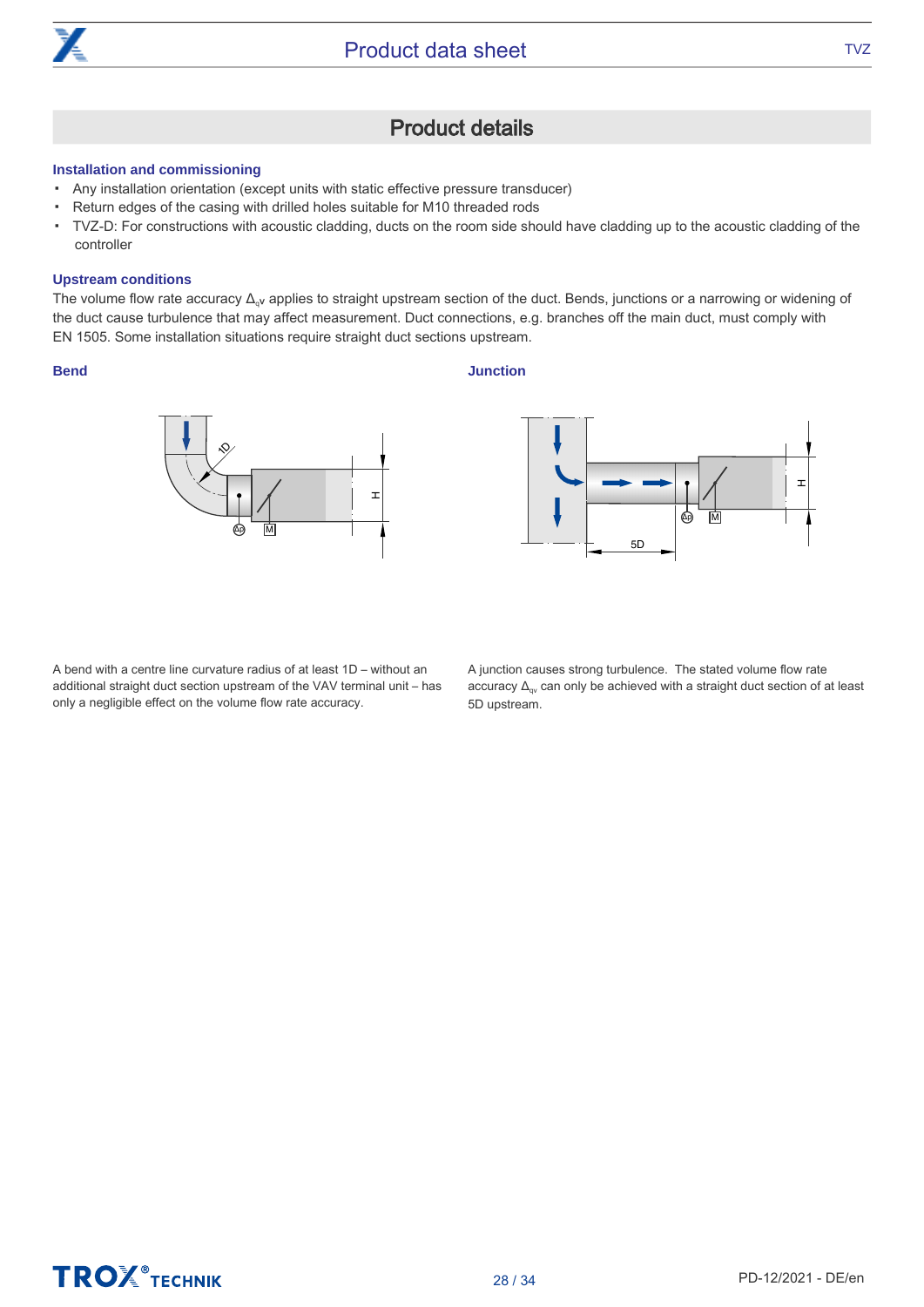![](_page_27_Picture_0.jpeg)

## Product details

#### <span id="page-27-0"></span>**Installation and commissioning**

- Any installation orientation (except units with static effective pressure transducer)
- Return edges of the casing with drilled holes suitable for M10 threaded rods
- TVZ-D: For constructions with acoustic cladding, ducts on the room side should have cladding up to the acoustic cladding of the controller

#### **Upstream conditions**

The volume flow rate accuracy  $\Delta_{o}$  applies to straight upstream section of the duct. Bends, junctions or a narrowing or widening of the duct cause turbulence that may affect measurement. Duct connections, e.g. branches off the main duct, must comply with EN 1505. Some installation situations require straight duct sections upstream.

#### **Bend**

**Junction**

![](_page_27_Figure_11.jpeg)

![](_page_27_Figure_12.jpeg)

A bend with a centre line curvature radius of at least 1D – without an additional straight duct section upstream of the VAV terminal unit – has only a negligible effect on the volume flow rate accuracy.

A junction causes strong turbulence. The stated volume flow rate accuracy  $\Delta_{\text{av}}$  can only be achieved with a straight duct section of at least 5D upstream.

![](_page_27_Picture_16.jpeg)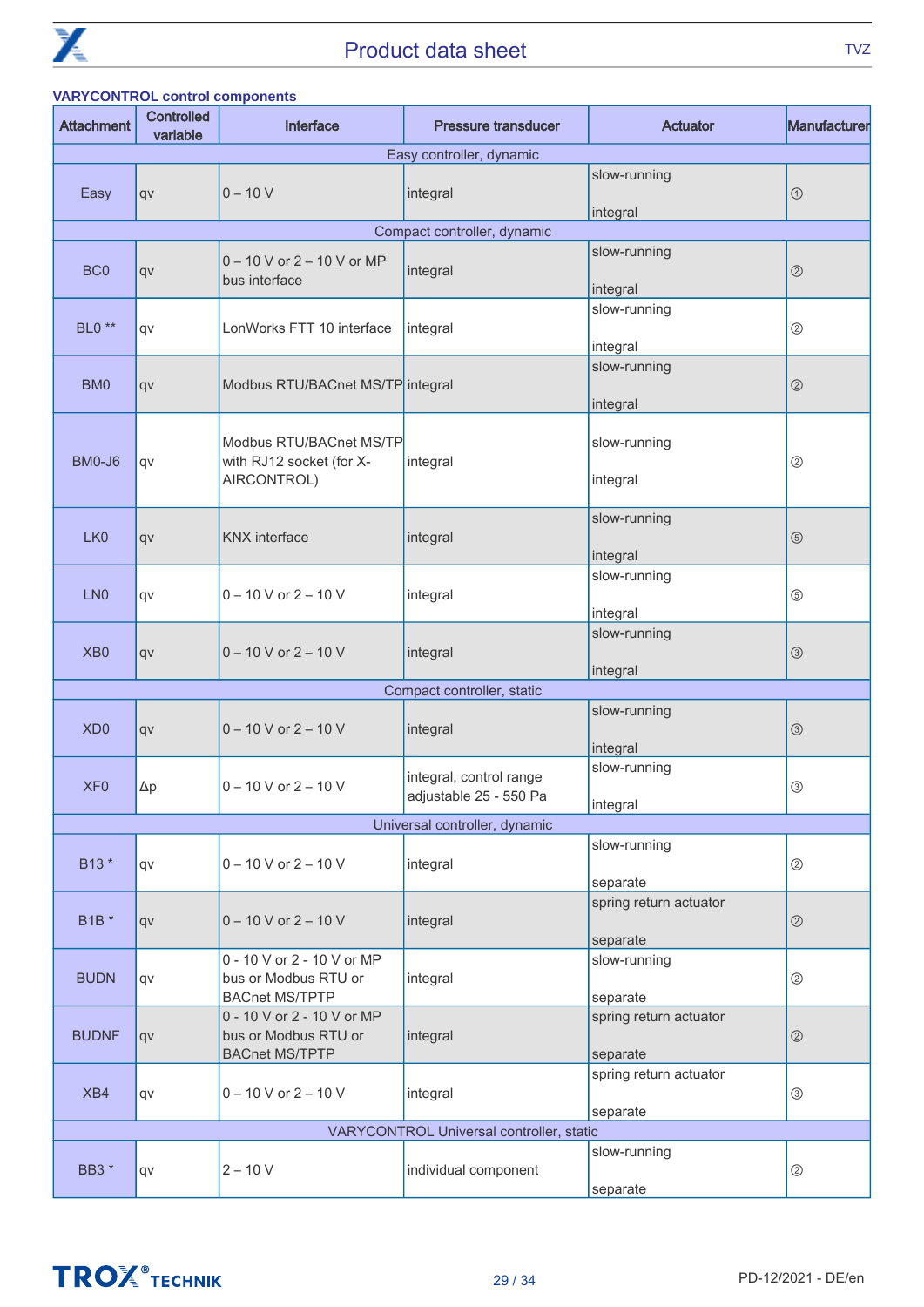![](_page_28_Picture_0.jpeg)

**VARYCONTROL control components**

| <b>Attachment</b> | <b>Controlled</b><br>variable | Interface                                                                   | <b>Pressure transducer</b>                        | <b>Actuator</b>                                | Manufacturer   |
|-------------------|-------------------------------|-----------------------------------------------------------------------------|---------------------------------------------------|------------------------------------------------|----------------|
|                   |                               |                                                                             | Easy controller, dynamic                          |                                                |                |
| Easy              | qv                            | $0 - 10 V$                                                                  | integral                                          | slow-running                                   | $\odot$        |
|                   |                               |                                                                             | Compact controller, dynamic                       | integral                                       |                |
|                   |                               |                                                                             |                                                   | slow-running                                   |                |
| BC <sub>0</sub>   | qv                            | $0 - 10$ V or $2 - 10$ V or MP<br>bus interface                             | integral                                          | integral                                       | $\circledS$    |
| <b>BLO</b> **     | qv                            | LonWorks FTT 10 interface                                                   | integral                                          | slow-running<br>integral                       | $^{\circledR}$ |
| BM <sub>0</sub>   | qv                            | Modbus RTU/BACnet MS/TP integral                                            |                                                   | slow-running<br>integral                       | $\circledcirc$ |
| BM0-J6            | qv                            | Modbus RTU/BACnet MS/TP<br>with RJ12 socket (for X-<br>AIRCONTROL)          | integral                                          | slow-running<br>integral                       | $^{\circledR}$ |
| LK <sub>0</sub>   | qv                            | <b>KNX</b> interface                                                        | integral                                          | slow-running<br>integral                       | $\circledS$    |
| LN <sub>0</sub>   | qv                            | $0 - 10$ V or $2 - 10$ V                                                    | integral                                          | slow-running<br>integral                       | $\circledS$    |
| XB <sub>0</sub>   | qv                            | $0 - 10$ V or $2 - 10$ V                                                    | integral                                          | slow-running<br>integral                       | $\circledS$    |
|                   |                               |                                                                             | Compact controller, static                        |                                                |                |
| XD <sub>0</sub>   | qv                            | $0 - 10$ V or $2 - 10$ V                                                    | integral                                          | slow-running<br>integral                       | $\circledS$    |
| XF <sub>0</sub>   | $\Delta p$                    | $0 - 10$ V or $2 - 10$ V                                                    | integral, control range<br>adjustable 25 - 550 Pa | slow-running<br>integral                       | $\circledS$    |
|                   |                               |                                                                             | Universal controller, dynamic                     |                                                |                |
| B <sub>13</sub> * | qv                            | $0 - 10$ V or $2 - 10$ V                                                    | integral                                          | slow-running                                   | $\circledS$    |
| <b>B1B</b> *      | qv                            | $0 - 10$ V or $2 - 10$ V                                                    | integral                                          | separate<br>spring return actuator<br>separate | $\circledS$    |
| <b>BUDN</b>       | qv                            | 0 - 10 V or 2 - 10 V or MP<br>bus or Modbus RTU or<br><b>BACnet MS/TPTP</b> | integral                                          | slow-running<br>separate                       | $\circledS$    |
| <b>BUDNF</b>      | qv                            | 0 - 10 V or 2 - 10 V or MP<br>bus or Modbus RTU or<br><b>BACnet MS/TPTP</b> | integral                                          | spring return actuator<br>separate             | $\circledcirc$ |
| XB4               | qv                            | $0 - 10$ V or $2 - 10$ V                                                    | integral                                          | spring return actuator<br>separate             | $\circledS$    |
|                   |                               |                                                                             | VARYCONTROL Universal controller, static          |                                                |                |
| BB3 *             | qv                            | $2 - 10 V$                                                                  | individual component                              | slow-running<br>separate                       | ②              |

# **TROX** TECHNIK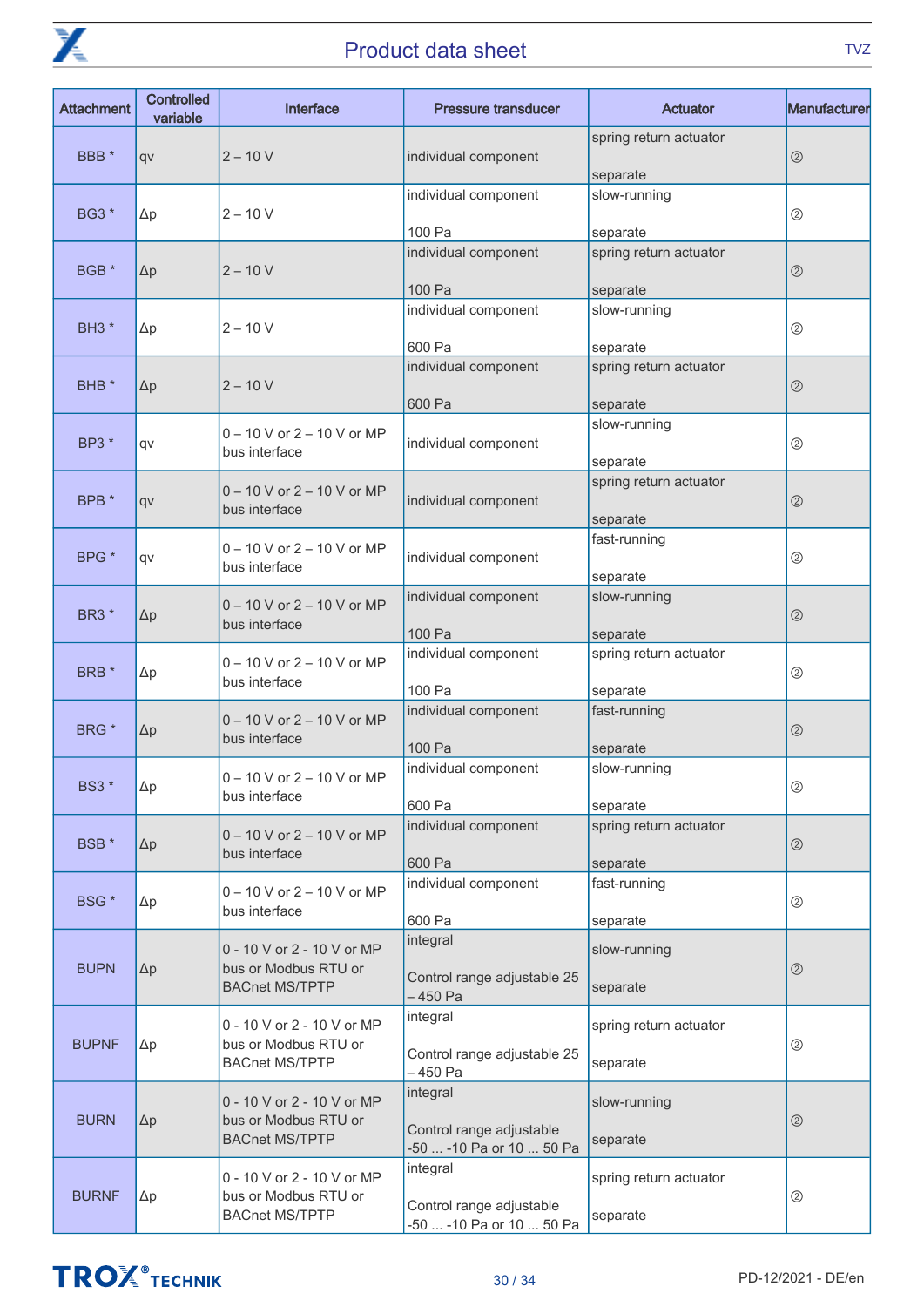![](_page_29_Picture_0.jpeg)

| <b>Attachment</b> | <b>Controlled</b><br>variable | Interface                                                                   | <b>Pressure transducer</b>                                       | <b>Actuator</b>                    | Manufacturer   |
|-------------------|-------------------------------|-----------------------------------------------------------------------------|------------------------------------------------------------------|------------------------------------|----------------|
| BBB <sup>*</sup>  | qv                            | $2 - 10 V$                                                                  | individual component                                             | spring return actuator<br>separate | $^{\circledR}$ |
| <b>BG3</b> *      | $\Delta p$                    | $2 - 10 V$                                                                  | individual component<br>100 Pa                                   | slow-running<br>separate           | ②              |
| BGB <sup>*</sup>  | $\Delta p$                    | $2 - 10 V$                                                                  | individual component<br>100 Pa                                   | spring return actuator<br>separate | $^{\circledR}$ |
| <b>BH3</b> *      | $\Delta p$                    | $2 - 10 V$                                                                  | individual component<br>600 Pa                                   | slow-running<br>separate           | $^{\circledR}$ |
| BHB <sup>*</sup>  | $\Delta p$                    | $2 - 10V$                                                                   | individual component<br>600 Pa                                   | spring return actuator<br>separate | $^{\circledR}$ |
| <b>BP3</b> *      | qv                            | $0 - 10$ V or $2 - 10$ V or MP<br>bus interface                             | individual component                                             | slow-running<br>separate           | $^{\circledR}$ |
| BPB <sup>*</sup>  | qv                            | $0 - 10$ V or $2 - 10$ V or MP<br>bus interface                             | individual component                                             | spring return actuator<br>separate | $\circledcirc$ |
| BPG <sup>*</sup>  | qv                            | $0 - 10$ V or $2 - 10$ V or MP<br>bus interface                             | individual component                                             | fast-running<br>separate           | ②              |
| <b>BR3</b> *      | $\Delta p$                    | $0 - 10$ V or $2 - 10$ V or MP<br>bus interface                             | individual component<br>100 Pa                                   | slow-running<br>separate           | $^{\circledR}$ |
| BRB <sup>*</sup>  | $\Delta p$                    | $0 - 10$ V or $2 - 10$ V or MP<br>bus interface                             | individual component<br>100 Pa                                   | spring return actuator<br>separate | ②              |
| BRG <sup>*</sup>  | $\Delta p$                    | $0 - 10$ V or $2 - 10$ V or MP<br>bus interface                             | individual component<br>100 Pa                                   | fast-running<br>separate           | $^{\circledR}$ |
| <b>BS3</b> *      | $\Delta p$                    | 0 - 10 V or 2 - 10 V or MP<br>bus interface                                 | individual component<br>600 Pa                                   | slow-running<br>separate           | $^{\circledR}$ |
| BSB <sup>*</sup>  | $\Delta p$                    | $0 - 10$ V or $2 - 10$ V or MP<br>bus interface                             | individual component<br>600 Pa                                   | spring return actuator<br>separate | $\circledS$    |
| BSG <sup>*</sup>  | $\Delta p$                    | $0 - 10$ V or $2 - 10$ V or MP<br>bus interface                             | individual component<br>600 Pa                                   | fast-running<br>separate           | $\circledS$    |
| <b>BUPN</b>       | $\Delta p$                    | 0 - 10 V or 2 - 10 V or MP<br>bus or Modbus RTU or<br><b>BACnet MS/TPTP</b> | integral<br>Control range adjustable 25<br>-450 Pa               | slow-running<br>separate           | $^{\circledR}$ |
| <b>BUPNF</b>      | $\Delta p$                    | 0 - 10 V or 2 - 10 V or MP<br>bus or Modbus RTU or<br><b>BACnet MS/TPTP</b> | integral<br>Control range adjustable 25<br>-450 Pa               | spring return actuator<br>separate | $^{\circledR}$ |
| <b>BURN</b>       | $\Delta p$                    | 0 - 10 V or 2 - 10 V or MP<br>bus or Modbus RTU or<br><b>BACnet MS/TPTP</b> | integral<br>Control range adjustable<br>-50  -10 Pa or 10  50 Pa | slow-running<br>separate           | $\circledS$    |
| <b>BURNF</b>      | $\Delta p$                    | 0 - 10 V or 2 - 10 V or MP<br>bus or Modbus RTU or<br><b>BACnet MS/TPTP</b> | integral<br>Control range adjustable<br>-50  -10 Pa or 10  50 Pa | spring return actuator<br>separate | $^{\circledR}$ |

# **TROX** TECHNIK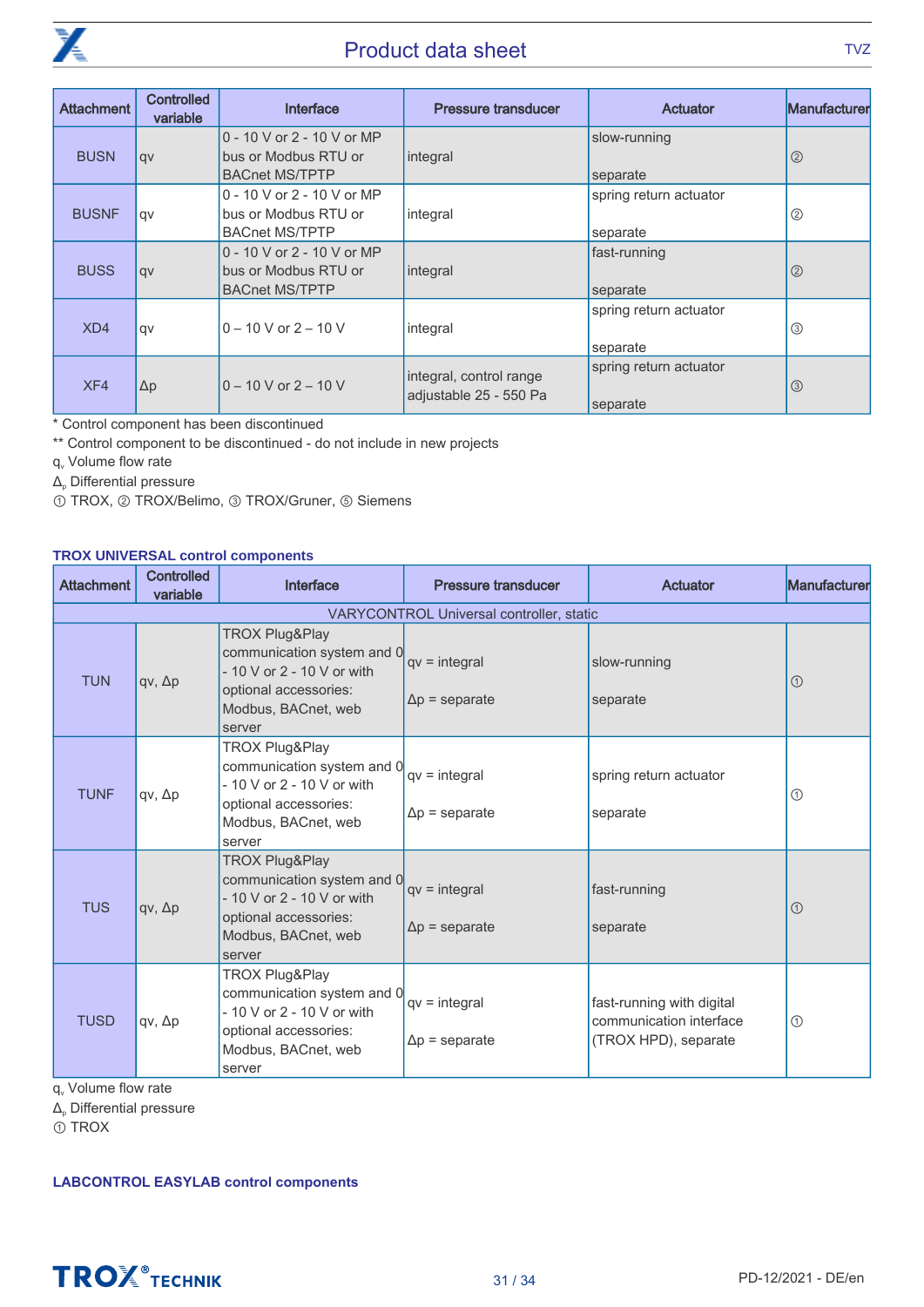![](_page_30_Picture_0.jpeg)

| <b>Attachment</b> | <b>Controlled</b><br>variable | Interface                                                                   | <b>Pressure transducer</b>                        | Actuator                           | Manufacturer  |
|-------------------|-------------------------------|-----------------------------------------------------------------------------|---------------------------------------------------|------------------------------------|---------------|
| <b>BUSN</b>       | <b>av</b>                     | 0 - 10 V or 2 - 10 V or MP<br>bus or Modbus RTU or<br><b>BACnet MS/TPTP</b> | integral                                          | slow-running<br>separate           | $\circled{2}$ |
| <b>BUSNF</b>      | <b>av</b>                     | 0 - 10 V or 2 - 10 V or MP<br>bus or Modbus RTU or<br><b>BACnet MS/TPTP</b> | integral                                          | spring return actuator<br>separate | ②             |
| <b>BUSS</b>       | <b>av</b>                     | 0 - 10 V or 2 - 10 V or MP<br>bus or Modbus RTU or<br><b>BACnet MS/TPTP</b> | integral                                          | fast-running<br>separate           | $\circled{2}$ |
| XD4               | qv                            | $0 - 10$ V or 2 – 10 V                                                      | integral                                          | spring return actuator<br>separate | $\circledS$   |
| XF4               | $\Delta p$                    | $0 - 10$ V or 2 – 10 V                                                      | integral, control range<br>adjustable 25 - 550 Pa | spring return actuator<br>separate | $\circled{3}$ |

\* Control component has been discontinued

\*\* Control component to be discontinued - do not include in new projects

- q<sub>v</sub> Volume flow rate
- $\Delta_{\scriptscriptstyle \rm p}$  Differential pressure

① TROX, ② TROX/Belimo, ③ TROX/Gruner, ⑤ Siemens

#### **TROX UNIVERSAL control components**

| <b>Attachment</b> | <b>Controlled</b><br>variable | Interface                                                                                                                                       | <b>Pressure transducer</b>                      | <b>Actuator</b>                                                              | Manufacturer   |  |  |
|-------------------|-------------------------------|-------------------------------------------------------------------------------------------------------------------------------------------------|-------------------------------------------------|------------------------------------------------------------------------------|----------------|--|--|
|                   |                               |                                                                                                                                                 | <b>VARYCONTROL Universal controller, static</b> |                                                                              |                |  |  |
| <b>TUN</b>        | $qv, \Delta p$                | <b>TROX Plug&amp;Play</b><br>communication system and 0<br>- 10 V or 2 - 10 V or with<br>optional accessories:<br>Modbus, BACnet, web<br>server | $\alpha v =$ integral<br>$\Delta p$ = separate  | slow-running<br>separate                                                     | $\odot$        |  |  |
| <b>TUNF</b>       | $qv, \Delta p$                | TROX Plug&Play<br>communication system and 0<br>- 10 V or 2 - 10 V or with<br>optional accessories:<br>Modbus, BACnet, web<br>server            | $qv = integral$<br>$\Delta p$ = separate        | spring return actuator<br>separate                                           | $\circledD$    |  |  |
| <b>TUS</b>        | $qv, \Delta p$                | TROX Plug&Play<br>communication system and 0<br>- 10 V or 2 - 10 V or with<br>optional accessories:<br>Modbus, BACnet, web<br>server            | $qv = integral$<br>$\Delta p$ = separate        | fast-running<br>separate                                                     | $\odot$        |  |  |
| <b>TUSD</b>       | $qv, \Delta p$                | TROX Plug&Play<br>communication system and 0<br>- 10 V or 2 - 10 V or with<br>optional accessories:<br>Modbus, BACnet, web<br>server            | $qv = integral$<br>$\Delta p$ = separate        | fast-running with digital<br>communication interface<br>(TROX HPD), separate | $^{\circledR}$ |  |  |

q<sub>v</sub> Volume flow rate

 $\Delta_{\scriptscriptstyle \rm p}$  Differential pressure

① TROX

**LABCONTROL EASYLAB control components**

![](_page_30_Picture_14.jpeg)

![](_page_30_Picture_15.jpeg)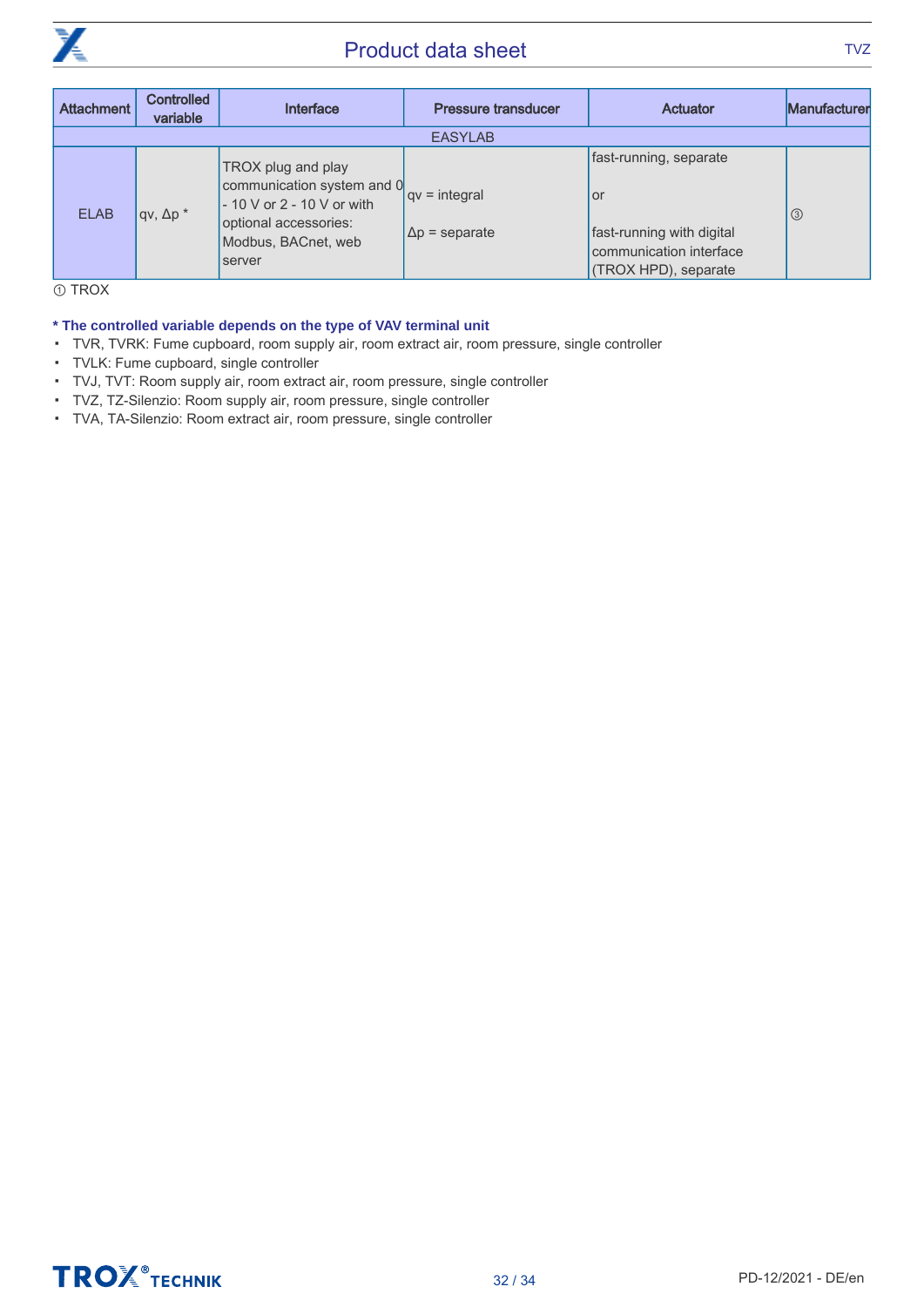![](_page_31_Picture_0.jpeg)

| <b>Attachment</b> | <b>Controlled</b><br>variable | Interface                                                                                                                                | <b>Pressure transducer</b>                     | Actuator                                                                                                            | Manufacturer   |  |  |  |  |
|-------------------|-------------------------------|------------------------------------------------------------------------------------------------------------------------------------------|------------------------------------------------|---------------------------------------------------------------------------------------------------------------------|----------------|--|--|--|--|
|                   | <b>EASYLAB</b>                |                                                                                                                                          |                                                |                                                                                                                     |                |  |  |  |  |
| <b>ELAB</b>       | $qv, \Delta p^*$              | TROX plug and play<br>communication system and 0<br>- 10 V or 2 - 10 V or with<br>optional accessories:<br>Modbus, BACnet, web<br>server | $\vert$ qv = integral<br>$\Delta p$ = separate | fast-running, separate<br><b>or</b><br>fast-running with digital<br>communication interface<br>(TROX HPD), separate | $\circledcirc$ |  |  |  |  |

① TROX

**\* The controlled variable depends on the type of VAV terminal unit**

- TVR, TVRK: Fume cupboard, room supply air, room extract air, room pressure, single controller
- TVLK: Fume cupboard, single controller
- TVJ, TVT: Room supply air, room extract air, room pressure, single controller
- TVZ, TZ-Silenzio: Room supply air, room pressure, single controller
- TVA, TA-Silenzio: Room extract air, room pressure, single controller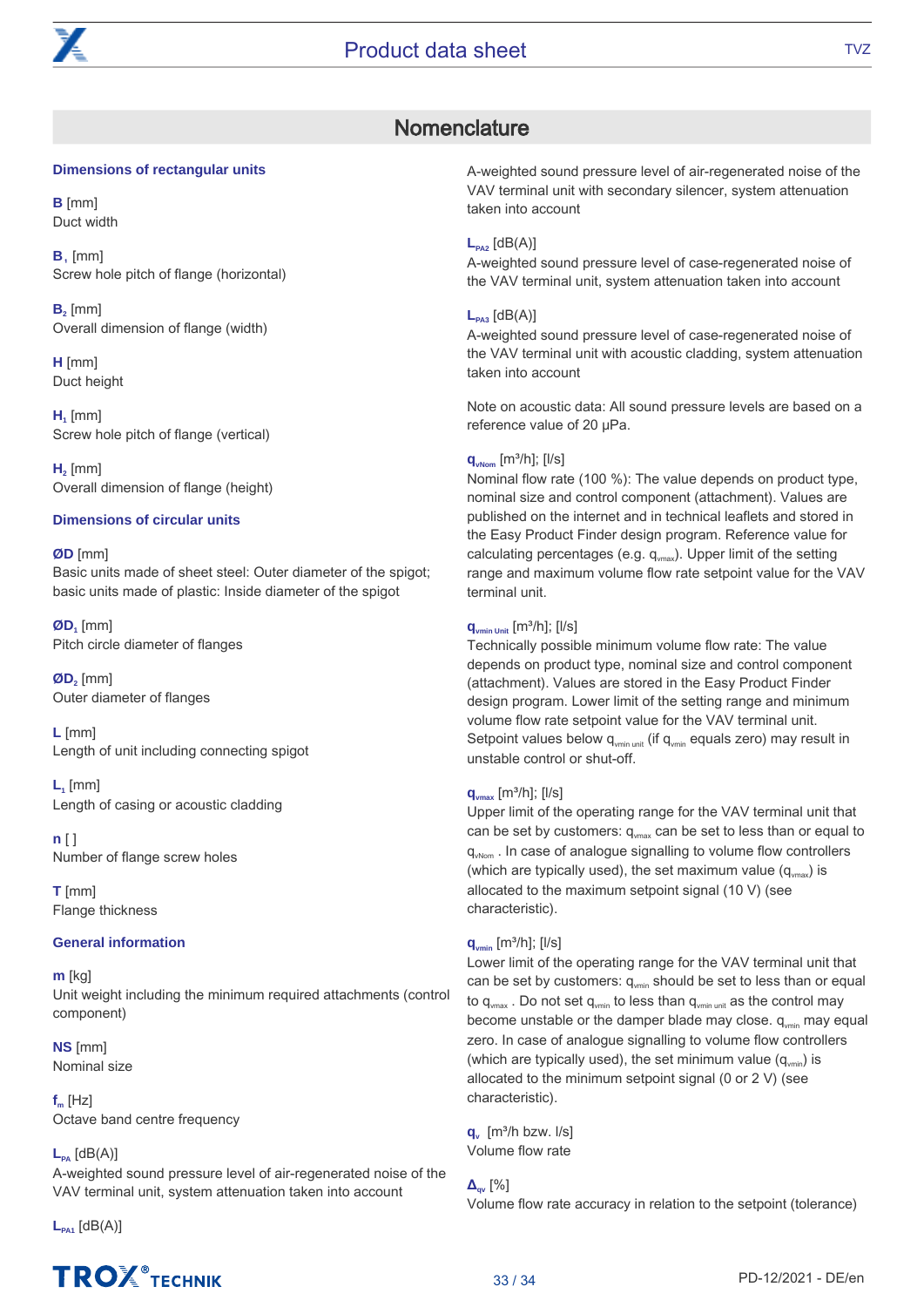![](_page_32_Picture_0.jpeg)

## **Nomenclature**

#### <span id="page-32-0"></span>**Dimensions of rectangular units**

**B** [mm] Duct width

**B**₁ [mm] Screw hole pitch of flange (horizontal)

**B<sup>2</sup>** [mm] Overall dimension of flange (width)

**H** [mm] Duct height

**H<sup>1</sup>** [mm] Screw hole pitch of flange (vertical)

**H<sup>2</sup>** [mm] Overall dimension of flange (height)

#### **Dimensions of circular units**

#### **ØD** [mm] Basic units made of sheet steel: Outer diameter of the spigot; basic units made of plastic: Inside diameter of the spigot

**ØD<sup>1</sup>** [mm] Pitch circle diameter of flanges

**ØD<sup>2</sup>** [mm] Outer diameter of flanges

**L** [mm] Length of unit including connecting spigot

**L1** [mm] Length of casing or acoustic cladding

**n** [ ] Number of flange screw holes

**T** [mm] Flange thickness

#### **General information**

**m** [kg] Unit weight including the minimum required attachments (control component)

**NS** [mm] Nominal size

 $f_m$  [Hz] Octave band centre frequency

#### **LPA** [dB(A)]

A-weighted sound pressure level of air-regenerated noise of the VAV terminal unit, system attenuation taken into account

**LPA1** [dB(A)]

## **TROX**<sup>®</sup>TECHNIK

A-weighted sound pressure level of air-regenerated noise of the VAV terminal unit with secondary silencer, system attenuation taken into account

#### **LPA2** [dB(A)]

A-weighted sound pressure level of case-regenerated noise of the VAV terminal unit, system attenuation taken into account

#### **LPA3** [dB(A)]

A-weighted sound pressure level of case-regenerated noise of the VAV terminal unit with acoustic cladding, system attenuation taken into account

Note on acoustic data: All sound pressure levels are based on a reference value of 20 μPa.

#### **qvNom** [m³/h]; [l/s]

Nominal flow rate (100 %): The value depends on product type, nominal size and control component (attachment). Values are published on the internet and in technical leaflets and stored in the Easy Product Finder design program. Reference value for calculating percentages (e.g.  $q_{vmax}$ ). Upper limit of the setting range and maximum volume flow rate setpoint value for the VAV terminal unit.

#### **qvmin Unit** [m³/h]; [l/s]

Technically possible minimum volume flow rate: The value depends on product type, nominal size and control component (attachment). Values are stored in the Easy Product Finder design program. Lower limit of the setting range and minimum volume flow rate setpoint value for the VAV terminal unit. Setpoint values below  $q_{\text{win unit}}$  (if  $q_{\text{win}}$  equals zero) may result in unstable control or shut-off.

#### **qvmax** [m³/h]; [l/s]

Upper limit of the operating range for the VAV terminal unit that can be set by customers:  $q_{max}$  can be set to less than or equal to q<sub>wNom</sub>. In case of analogue signalling to volume flow controllers (which are typically used), the set maximum value  $(q_{max})$  is allocated to the maximum setpoint signal (10 V) (see characteristic).

#### **qvmin** [m³/h]; [l/s]

Lower limit of the operating range for the VAV terminal unit that can be set by customers:  $q_{\text{win}}$  should be set to less than or equal to  $q_{vmax}$ . Do not set  $q_{vmin}$  to less than  $q_{vmin}$  as the control may become unstable or the damper blade may close. q<sub>vmin</sub> may equal zero. In case of analogue signalling to volume flow controllers (which are typically used), the set minimum value  $(q_{\text{win}})$  is allocated to the minimum setpoint signal (0 or 2 V) (see characteristic).

**qv** [m³/h bzw. l/s] Volume flow rate

**Δqv** [%]

Volume flow rate accuracy in relation to the setpoint (tolerance)